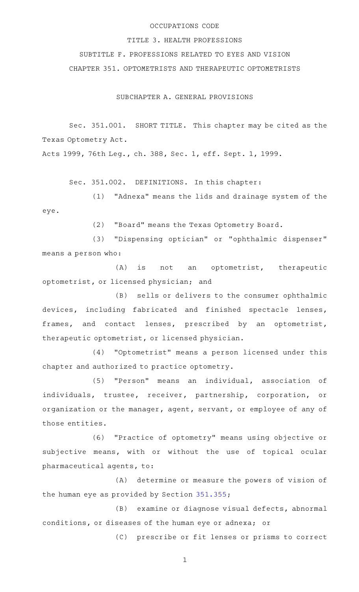### OCCUPATIONS CODE

#### TITLE 3. HEALTH PROFESSIONS

SUBTITLE F. PROFESSIONS RELATED TO EYES AND VISION CHAPTER 351. OPTOMETRISTS AND THERAPEUTIC OPTOMETRISTS

SUBCHAPTER A. GENERAL PROVISIONS

Sec. 351.001. SHORT TITLE. This chapter may be cited as the Texas Optometry Act.

Acts 1999, 76th Leg., ch. 388, Sec. 1, eff. Sept. 1, 1999.

Sec. 351.002. DEFINITIONS. In this chapter:

(1) "Adnexa" means the lids and drainage system of the eye.

(2) "Board" means the Texas Optometry Board.

(3) "Dispensing optician" or "ophthalmic dispenser" means a person who:

(A) is not an optometrist, therapeutic optometrist, or licensed physician; and

(B) sells or delivers to the consumer ophthalmic devices, including fabricated and finished spectacle lenses, frames, and contact lenses, prescribed by an optometrist, therapeutic optometrist, or licensed physician.

(4) "Optometrist" means a person licensed under this chapter and authorized to practice optometry.

(5) "Person" means an individual, association of individuals, trustee, receiver, partnership, corporation, or organization or the manager, agent, servant, or employee of any of those entities.

(6) "Practice of optometry" means using objective or subjective means, with or without the use of topical ocular pharmaceutical agents, to:

(A) determine or measure the powers of vision of the human eye as provided by Section [351.355;](https://statutes.capitol.texas.gov/GetStatute.aspx?Code=OC&Value=351.355)

(B) examine or diagnose visual defects, abnormal conditions, or diseases of the human eye or adnexa; or

(C) prescribe or fit lenses or prisms to correct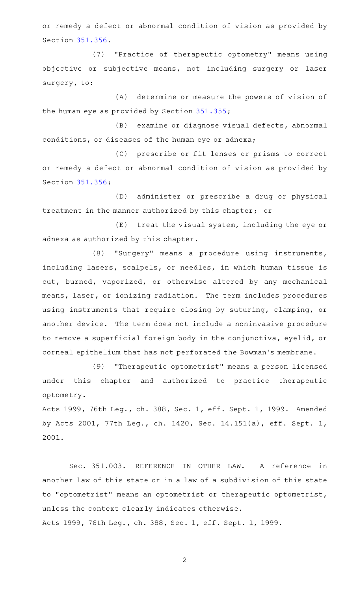or remedy a defect or abnormal condition of vision as provided by Section [351.356.](https://statutes.capitol.texas.gov/GetStatute.aspx?Code=OC&Value=351.356)

(7) "Practice of therapeutic optometry" means using objective or subjective means, not including surgery or laser surgery, to:

(A) determine or measure the powers of vision of the human eye as provided by Section [351.355;](https://statutes.capitol.texas.gov/GetStatute.aspx?Code=OC&Value=351.355)

(B) examine or diagnose visual defects, abnormal conditions, or diseases of the human eye or adnexa;

(C) prescribe or fit lenses or prisms to correct or remedy a defect or abnormal condition of vision as provided by Section [351.356;](https://statutes.capitol.texas.gov/GetStatute.aspx?Code=OC&Value=351.356)

(D) administer or prescribe a drug or physical treatment in the manner authorized by this chapter; or

 $(E)$  treat the visual system, including the eye or adnexa as authorized by this chapter.

(8) "Surgery" means a procedure using instruments, including lasers, scalpels, or needles, in which human tissue is cut, burned, vaporized, or otherwise altered by any mechanical means, laser, or ionizing radiation. The term includes procedures using instruments that require closing by suturing, clamping, or another device. The term does not include a noninvasive procedure to remove a superficial foreign body in the conjunctiva, eyelid, or corneal epithelium that has not perforated the Bowman 's membrane.

(9) "Therapeutic optometrist" means a person licensed under this chapter and authorized to practice therapeutic optometry.

Acts 1999, 76th Leg., ch. 388, Sec. 1, eff. Sept. 1, 1999. Amended by Acts 2001, 77th Leg., ch. 1420, Sec. 14.151(a), eff. Sept. 1, 2001.

Sec. 351.003. REFERENCE IN OTHER LAW. A reference in another law of this state or in a law of a subdivision of this state to "optometrist" means an optometrist or therapeutic optometrist, unless the context clearly indicates otherwise. Acts 1999, 76th Leg., ch. 388, Sec. 1, eff. Sept. 1, 1999.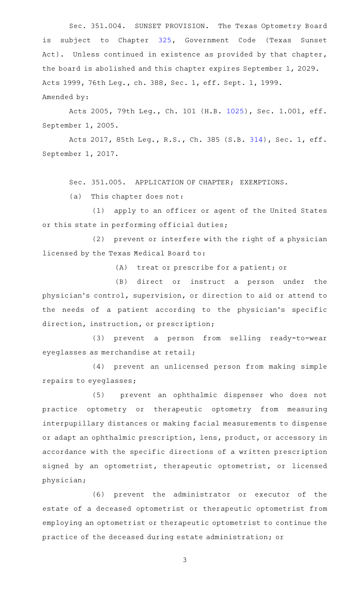Sec. 351.004. SUNSET PROVISION. The Texas Optometry Board is subject to Chapter [325](https://statutes.capitol.texas.gov/GetStatute.aspx?Code=GV&Value=325), Government Code (Texas Sunset Act). Unless continued in existence as provided by that chapter, the board is abolished and this chapter expires September 1, 2029. Acts 1999, 76th Leg., ch. 388, Sec. 1, eff. Sept. 1, 1999. Amended by:

Acts 2005, 79th Leg., Ch. 101 (H.B. [1025](http://www.legis.state.tx.us/tlodocs/79R/billtext/html/HB01025F.HTM)), Sec. 1.001, eff. September 1, 2005.

Acts 2017, 85th Leg., R.S., Ch. 385 (S.B. [314](http://www.legis.state.tx.us/tlodocs/85R/billtext/html/SB00314F.HTM)), Sec. 1, eff. September 1, 2017.

Sec. 351.005. APPLICATION OF CHAPTER; EXEMPTIONS.

 $(a)$  This chapter does not:

(1) apply to an officer or agent of the United States or this state in performing official duties;

 $(2)$  prevent or interfere with the right of a physician licensed by the Texas Medical Board to:

 $(A)$  treat or prescribe for a patient; or

(B) direct or instruct a person under the physician 's control, supervision, or direction to aid or attend to the needs of a patient according to the physician 's specific direction, instruction, or prescription;

(3) prevent a person from selling ready-to-wear eyeglasses as merchandise at retail;

(4) prevent an unlicensed person from making simple repairs to eyeglasses;

(5) prevent an ophthalmic dispenser who does not practice optometry or therapeutic optometry from measuring interpupillary distances or making facial measurements to dispense or adapt an ophthalmic prescription, lens, product, or accessory in accordance with the specific directions of a written prescription signed by an optometrist, therapeutic optometrist, or licensed physician;

(6) prevent the administrator or executor of the estate of a deceased optometrist or therapeutic optometrist from employing an optometrist or therapeutic optometrist to continue the practice of the deceased during estate administration; or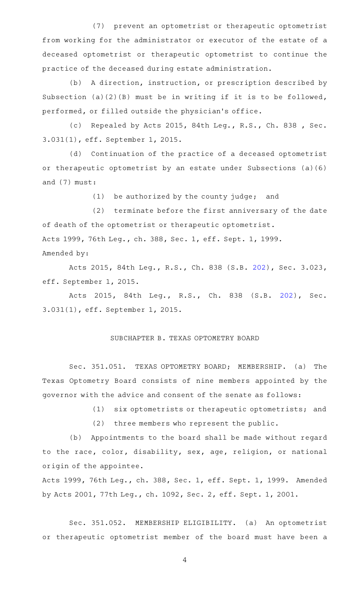(7) prevent an optometrist or therapeutic optometrist from working for the administrator or executor of the estate of a deceased optometrist or therapeutic optometrist to continue the practice of the deceased during estate administration.

(b) A direction, instruction, or prescription described by Subsection (a)(2)(B) must be in writing if it is to be followed, performed, or filled outside the physician 's office.

(c) Repealed by Acts 2015, 84th Leg., R.S., Ch. 838 , Sec. 3.031(1), eff. September 1, 2015.

(d) Continuation of the practice of a deceased optometrist or therapeutic optometrist by an estate under Subsections (a)(6) and (7) must:

 $(1)$  be authorized by the county judge; and

(2) terminate before the first anniversary of the date of death of the optometrist or therapeutic optometrist. Acts 1999, 76th Leg., ch. 388, Sec. 1, eff. Sept. 1, 1999. Amended by:

Acts 2015, 84th Leg., R.S., Ch. 838 (S.B. [202](http://www.legis.state.tx.us/tlodocs/84R/billtext/html/SB00202F.HTM)), Sec. 3.023, eff. September 1, 2015.

Acts 2015, 84th Leg., R.S., Ch. 838 (S.B. [202\)](http://www.legis.state.tx.us/tlodocs/84R/billtext/html/SB00202F.HTM), Sec. 3.031(1), eff. September 1, 2015.

# SUBCHAPTER B. TEXAS OPTOMETRY BOARD

Sec. 351.051. TEXAS OPTOMETRY BOARD; MEMBERSHIP. (a) The Texas Optometry Board consists of nine members appointed by the governor with the advice and consent of the senate as follows:

(1) six optometrists or therapeutic optometrists; and

(2) three members who represent the public.

(b) Appointments to the board shall be made without regard to the race, color, disability, sex, age, religion, or national origin of the appointee.

Acts 1999, 76th Leg., ch. 388, Sec. 1, eff. Sept. 1, 1999. Amended by Acts 2001, 77th Leg., ch. 1092, Sec. 2, eff. Sept. 1, 2001.

Sec. 351.052. MEMBERSHIP ELIGIBILITY. (a) An optometrist or therapeutic optometrist member of the board must have been a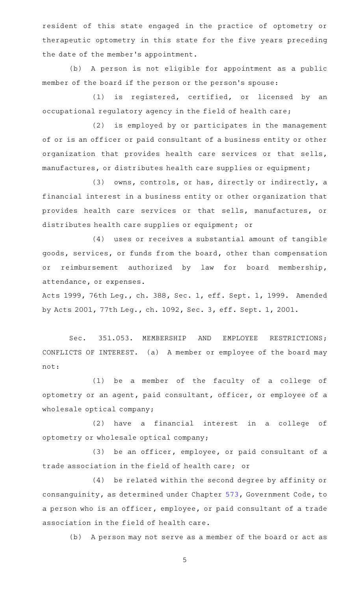resident of this state engaged in the practice of optometry or therapeutic optometry in this state for the five years preceding the date of the member 's appointment.

(b) A person is not eligible for appointment as a public member of the board if the person or the person 's spouse:

(1) is registered, certified, or licensed by an occupational regulatory agency in the field of health care;

(2) is employed by or participates in the management of or is an officer or paid consultant of a business entity or other organization that provides health care services or that sells, manufactures, or distributes health care supplies or equipment;

(3) owns, controls, or has, directly or indirectly, a financial interest in a business entity or other organization that provides health care services or that sells, manufactures, or distributes health care supplies or equipment; or

(4) uses or receives a substantial amount of tangible goods, services, or funds from the board, other than compensation or reimbursement authorized by law for board membership, attendance, or expenses.

Acts 1999, 76th Leg., ch. 388, Sec. 1, eff. Sept. 1, 1999. Amended by Acts 2001, 77th Leg., ch. 1092, Sec. 3, eff. Sept. 1, 2001.

Sec. 351.053. MEMBERSHIP AND EMPLOYEE RESTRICTIONS; CONFLICTS OF INTEREST. (a) A member or employee of the board may not:

(1) be a member of the faculty of a college of optometry or an agent, paid consultant, officer, or employee of a wholesale optical company;

(2) have a financial interest in a college of optometry or wholesale optical company;

(3) be an officer, employee, or paid consultant of a trade association in the field of health care; or

(4) be related within the second degree by affinity or consanguinity, as determined under Chapter [573,](https://statutes.capitol.texas.gov/GetStatute.aspx?Code=GV&Value=573) Government Code, to a person who is an officer, employee, or paid consultant of a trade association in the field of health care.

(b) A person may not serve as a member of the board or act as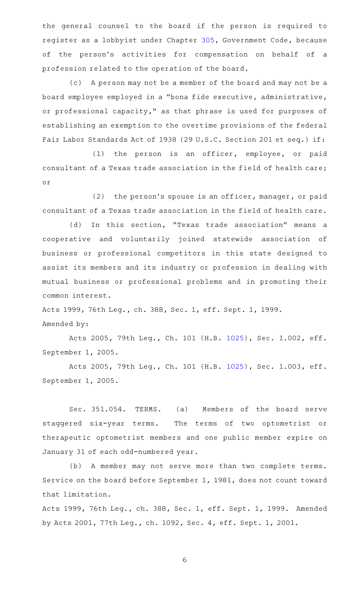the general counsel to the board if the person is required to register as a lobbyist under Chapter [305,](https://statutes.capitol.texas.gov/GetStatute.aspx?Code=GV&Value=305) Government Code, because of the person 's activities for compensation on behalf of a profession related to the operation of the board.

(c) A person may not be a member of the board and may not be a board employee employed in a "bona fide executive, administrative, or professional capacity," as that phrase is used for purposes of establishing an exemption to the overtime provisions of the federal Fair Labor Standards Act of 1938 (29 U.S.C. Section 201 et seq.) if:

(1) the person is an officer, employee, or paid consultant of a Texas trade association in the field of health care; or

 $(2)$  the person's spouse is an officer, manager, or paid consultant of a Texas trade association in the field of health care.

(d) In this section, "Texas trade association" means a cooperative and voluntarily joined statewide association of business or professional competitors in this state designed to assist its members and its industry or profession in dealing with mutual business or professional problems and in promoting their common interest.

Acts 1999, 76th Leg., ch. 388, Sec. 1, eff. Sept. 1, 1999. Amended by:

Acts 2005, 79th Leg., Ch. 101 (H.B. [1025](http://www.legis.state.tx.us/tlodocs/79R/billtext/html/HB01025F.HTM)), Sec. 1.002, eff. September 1, 2005.

Acts 2005, 79th Leg., Ch. 101 (H.B. [1025](http://www.legis.state.tx.us/tlodocs/79R/billtext/html/HB01025F.HTM)), Sec. 1.003, eff. September 1, 2005.

Sec. 351.054. TERMS. (a) Members of the board serve staggered six-year terms. The terms of two optometrist or therapeutic optometrist members and one public member expire on January 31 of each odd-numbered year.

(b) A member may not serve more than two complete terms. Service on the board before September 1, 1981, does not count toward that limitation.

Acts 1999, 76th Leg., ch. 388, Sec. 1, eff. Sept. 1, 1999. Amended by Acts 2001, 77th Leg., ch. 1092, Sec. 4, eff. Sept. 1, 2001.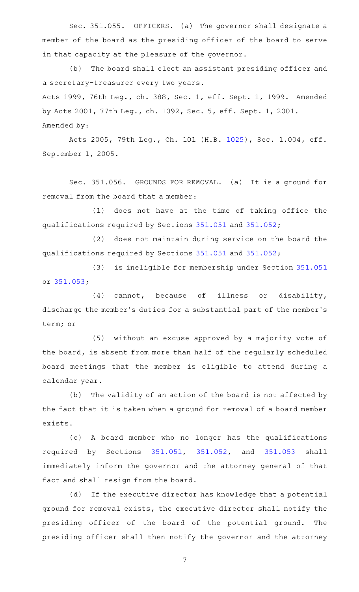Sec. 351.055. OFFICERS. (a) The governor shall designate a member of the board as the presiding officer of the board to serve in that capacity at the pleasure of the governor.

(b) The board shall elect an assistant presiding officer and a secretary-treasurer every two years. Acts 1999, 76th Leg., ch. 388, Sec. 1, eff. Sept. 1, 1999. Amended by Acts 2001, 77th Leg., ch. 1092, Sec. 5, eff. Sept. 1, 2001.

Amended by:

Acts 2005, 79th Leg., Ch. 101 (H.B. [1025](http://www.legis.state.tx.us/tlodocs/79R/billtext/html/HB01025F.HTM)), Sec. 1.004, eff. September 1, 2005.

Sec. 351.056. GROUNDS FOR REMOVAL. (a) It is a ground for removal from the board that a member:

(1) does not have at the time of taking office the qualifications required by Sections [351.051](https://statutes.capitol.texas.gov/GetStatute.aspx?Code=OC&Value=351.051) and [351.052](https://statutes.capitol.texas.gov/GetStatute.aspx?Code=OC&Value=351.052);

(2) does not maintain during service on the board the qualifications required by Sections [351.051](https://statutes.capitol.texas.gov/GetStatute.aspx?Code=OC&Value=351.051) and [351.052](https://statutes.capitol.texas.gov/GetStatute.aspx?Code=OC&Value=351.052);

(3) is ineligible for membership under Section [351.051](https://statutes.capitol.texas.gov/GetStatute.aspx?Code=OC&Value=351.051) or [351.053;](https://statutes.capitol.texas.gov/GetStatute.aspx?Code=OC&Value=351.053)

 $(4)$  cannot, because of illness or disability, discharge the member 's duties for a substantial part of the member 's term; or

(5) without an excuse approved by a majority vote of the board, is absent from more than half of the regularly scheduled board meetings that the member is eligible to attend during a calendar year.

(b) The validity of an action of the board is not affected by the fact that it is taken when a ground for removal of a board member exists.

(c)AAA board member who no longer has the qualifications required by Sections [351.051](https://statutes.capitol.texas.gov/GetStatute.aspx?Code=OC&Value=351.051), [351.052](https://statutes.capitol.texas.gov/GetStatute.aspx?Code=OC&Value=351.052), and [351.053](https://statutes.capitol.texas.gov/GetStatute.aspx?Code=OC&Value=351.053) shall immediately inform the governor and the attorney general of that fact and shall resign from the board.

(d) If the executive director has knowledge that a potential ground for removal exists, the executive director shall notify the presiding officer of the board of the potential ground. The presiding officer shall then notify the governor and the attorney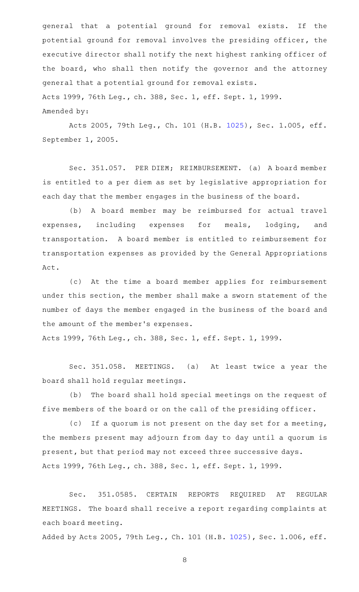general that a potential ground for removal exists. If the potential ground for removal involves the presiding officer, the executive director shall notify the next highest ranking officer of the board, who shall then notify the governor and the attorney general that a potential ground for removal exists. Acts 1999, 76th Leg., ch. 388, Sec. 1, eff. Sept. 1, 1999. Amended by:

Acts 2005, 79th Leg., Ch. 101 (H.B. [1025](http://www.legis.state.tx.us/tlodocs/79R/billtext/html/HB01025F.HTM)), Sec. 1.005, eff. September 1, 2005.

Sec. 351.057. PER DIEM; REIMBURSEMENT. (a) A board member is entitled to a per diem as set by legislative appropriation for each day that the member engages in the business of the board.

(b) A board member may be reimbursed for actual travel expenses, including expenses for meals, lodging, and transportation. A board member is entitled to reimbursement for transportation expenses as provided by the General Appropriations Act.

(c) At the time a board member applies for reimbursement under this section, the member shall make a sworn statement of the number of days the member engaged in the business of the board and the amount of the member 's expenses.

Acts 1999, 76th Leg., ch. 388, Sec. 1, eff. Sept. 1, 1999.

Sec. 351.058. MEETINGS. (a) At least twice a year the board shall hold regular meetings.

(b) The board shall hold special meetings on the request of five members of the board or on the call of the presiding officer.

(c) If a quorum is not present on the day set for a meeting, the members present may adjourn from day to day until a quorum is present, but that period may not exceed three successive days. Acts 1999, 76th Leg., ch. 388, Sec. 1, eff. Sept. 1, 1999.

Sec. 351.0585. CERTAIN REPORTS REQUIRED AT REGULAR MEETINGS. The board shall receive a report regarding complaints at each board meeting.

Added by Acts 2005, 79th Leg., Ch. 101 (H.B. [1025](http://www.legis.state.tx.us/tlodocs/79R/billtext/html/HB01025F.HTM)), Sec. 1.006, eff.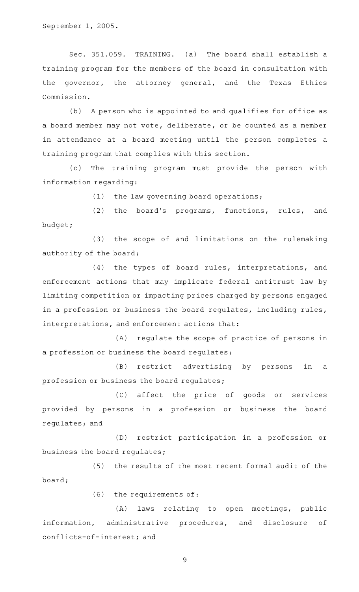Sec. 351.059. TRAINING. (a) The board shall establish a training program for the members of the board in consultation with the governor, the attorney general, and the Texas Ethics Commission.

(b) A person who is appointed to and qualifies for office as a board member may not vote, deliberate, or be counted as a member in attendance at a board meeting until the person completes a training program that complies with this section.

(c) The training program must provide the person with information regarding:

 $(1)$  the law governing board operations;

(2) the board's programs, functions, rules, and budget;

(3) the scope of and limitations on the rulemaking authority of the board;

(4) the types of board rules, interpretations, and enforcement actions that may implicate federal antitrust law by limiting competition or impacting prices charged by persons engaged in a profession or business the board regulates, including rules, interpretations, and enforcement actions that:

(A) regulate the scope of practice of persons in a profession or business the board regulates;

(B) restrict advertising by persons in a profession or business the board regulates;

(C) affect the price of goods or services provided by persons in a profession or business the board regulates; and

(D) restrict participation in a profession or business the board regulates;

(5) the results of the most recent formal audit of the board;

 $(6)$  the requirements of:

(A) laws relating to open meetings, public information, administrative procedures, and disclosure of conflicts-of-interest; and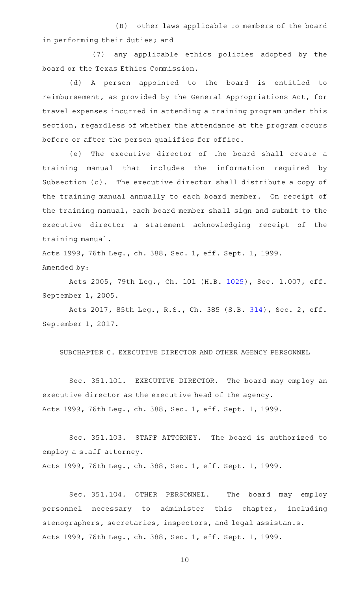(B) other laws applicable to members of the board in performing their duties; and

(7) any applicable ethics policies adopted by the board or the Texas Ethics Commission.

(d)AAA person appointed to the board is entitled to reimbursement, as provided by the General Appropriations Act, for travel expenses incurred in attending a training program under this section, regardless of whether the attendance at the program occurs before or after the person qualifies for office.

(e) The executive director of the board shall create a training manual that includes the information required by Subsection (c). The executive director shall distribute a copy of the training manual annually to each board member. On receipt of the training manual, each board member shall sign and submit to the executive director a statement acknowledging receipt of the training manual.

Acts 1999, 76th Leg., ch. 388, Sec. 1, eff. Sept. 1, 1999. Amended by:

Acts 2005, 79th Leg., Ch. 101 (H.B. [1025](http://www.legis.state.tx.us/tlodocs/79R/billtext/html/HB01025F.HTM)), Sec. 1.007, eff. September 1, 2005.

Acts 2017, 85th Leg., R.S., Ch. 385 (S.B. [314](http://www.legis.state.tx.us/tlodocs/85R/billtext/html/SB00314F.HTM)), Sec. 2, eff. September 1, 2017.

SUBCHAPTER C. EXECUTIVE DIRECTOR AND OTHER AGENCY PERSONNEL

Sec. 351.101. EXECUTIVE DIRECTOR. The board may employ an executive director as the executive head of the agency. Acts 1999, 76th Leg., ch. 388, Sec. 1, eff. Sept. 1, 1999.

Sec. 351.103. STAFF ATTORNEY. The board is authorized to employ a staff attorney.

Acts 1999, 76th Leg., ch. 388, Sec. 1, eff. Sept. 1, 1999.

Sec. 351.104. OTHER PERSONNEL. The board may employ personnel necessary to administer this chapter, including stenographers, secretaries, inspectors, and legal assistants. Acts 1999, 76th Leg., ch. 388, Sec. 1, eff. Sept. 1, 1999.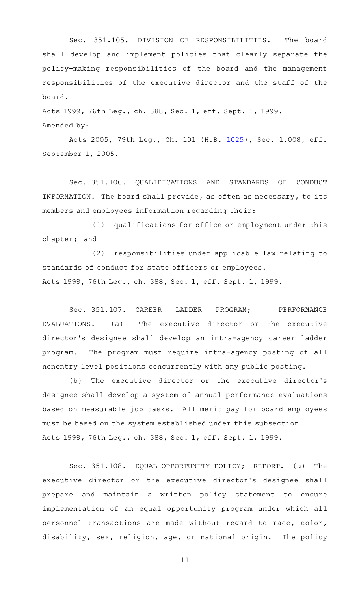Sec. 351.105. DIVISION OF RESPONSIBILITIES. The board shall develop and implement policies that clearly separate the policy-making responsibilities of the board and the management responsibilities of the executive director and the staff of the board.

Acts 1999, 76th Leg., ch. 388, Sec. 1, eff. Sept. 1, 1999.

Amended by:

Acts 2005, 79th Leg., Ch. 101 (H.B. [1025](http://www.legis.state.tx.us/tlodocs/79R/billtext/html/HB01025F.HTM)), Sec. 1.008, eff. September 1, 2005.

Sec. 351.106. QUALIFICATIONS AND STANDARDS OF CONDUCT INFORMATION. The board shall provide, as often as necessary, to its members and employees information regarding their:

(1) qualifications for office or employment under this chapter; and

(2) responsibilities under applicable law relating to standards of conduct for state officers or employees. Acts 1999, 76th Leg., ch. 388, Sec. 1, eff. Sept. 1, 1999.

Sec. 351.107. CAREER LADDER PROGRAM; PERFORMANCE EVALUATIONS. (a) The executive director or the executive director 's designee shall develop an intra-agency career ladder program. The program must require intra-agency posting of all nonentry level positions concurrently with any public posting.

(b) The executive director or the executive director's designee shall develop a system of annual performance evaluations based on measurable job tasks. All merit pay for board employees must be based on the system established under this subsection. Acts 1999, 76th Leg., ch. 388, Sec. 1, eff. Sept. 1, 1999.

Sec. 351.108. EQUAL OPPORTUNITY POLICY; REPORT. (a) The executive director or the executive director's designee shall prepare and maintain a written policy statement to ensure implementation of an equal opportunity program under which all personnel transactions are made without regard to race, color, disability, sex, religion, age, or national origin. The policy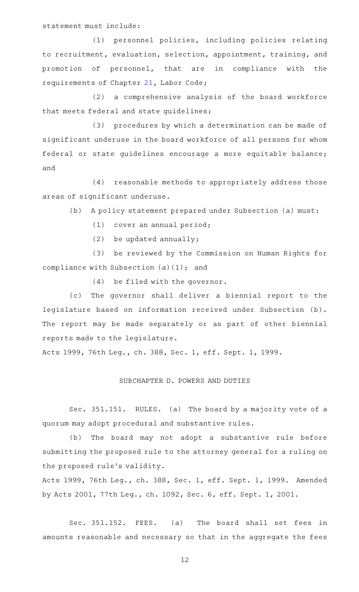statement must include:

(1) personnel policies, including policies relating to recruitment, evaluation, selection, appointment, training, and promotion of personnel, that are in compliance with the requirements of Chapter [21,](https://statutes.capitol.texas.gov/GetStatute.aspx?Code=LA&Value=21) Labor Code;

(2) a comprehensive analysis of the board workforce that meets federal and state guidelines;

(3) procedures by which a determination can be made of significant underuse in the board workforce of all persons for whom federal or state guidelines encourage a more equitable balance; and

(4) reasonable methods to appropriately address those areas of significant underuse.

(b) A policy statement prepared under Subsection (a) must:

 $(1)$  cover an annual period;

(2) be updated annually;

(3) be reviewed by the Commission on Human Rights for compliance with Subsection (a)(1); and

 $(4)$  be filed with the governor.

(c) The governor shall deliver a biennial report to the legislature based on information received under Subsection (b). The report may be made separately or as part of other biennial reports made to the legislature.

Acts 1999, 76th Leg., ch. 388, Sec. 1, eff. Sept. 1, 1999.

#### SUBCHAPTER D. POWERS AND DUTIES

Sec. 351.151. RULES. (a) The board by a majority vote of a quorum may adopt procedural and substantive rules.

(b) The board may not adopt a substantive rule before submitting the proposed rule to the attorney general for a ruling on the proposed rule 's validity.

Acts 1999, 76th Leg., ch. 388, Sec. 1, eff. Sept. 1, 1999. Amended by Acts 2001, 77th Leg., ch. 1092, Sec. 6, eff. Sept. 1, 2001.

Sec. 351.152. FEES. (a) The board shall set fees in amounts reasonable and necessary so that in the aggregate the fees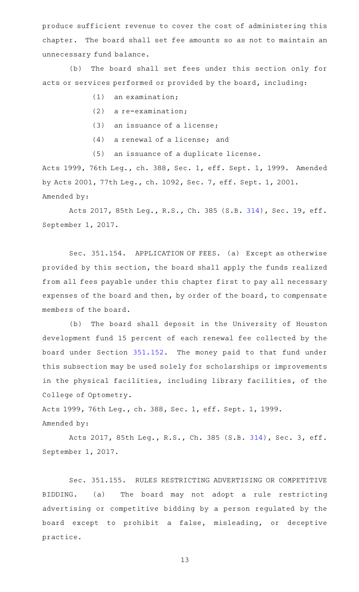produce sufficient revenue to cover the cost of administering this chapter. The board shall set fee amounts so as not to maintain an unnecessary fund balance.

(b) The board shall set fees under this section only for acts or services performed or provided by the board, including:

- $(1)$  an examination;
- $(2)$  a re-examination;
- $(3)$  an issuance of a license;
- $(4)$  a renewal of a license; and
- (5) an issuance of a duplicate license.

Acts 1999, 76th Leg., ch. 388, Sec. 1, eff. Sept. 1, 1999. Amended by Acts 2001, 77th Leg., ch. 1092, Sec. 7, eff. Sept. 1, 2001. Amended by:

Acts 2017, 85th Leg., R.S., Ch. 385 (S.B. [314\)](http://www.legis.state.tx.us/tlodocs/85R/billtext/html/SB00314F.HTM), Sec. 19, eff. September 1, 2017.

Sec. 351.154. APPLICATION OF FEES. (a) Except as otherwise provided by this section, the board shall apply the funds realized from all fees payable under this chapter first to pay all necessary expenses of the board and then, by order of the board, to compensate members of the board.

(b) The board shall deposit in the University of Houston development fund 15 percent of each renewal fee collected by the board under Section [351.152](https://statutes.capitol.texas.gov/GetStatute.aspx?Code=OC&Value=351.152). The money paid to that fund under this subsection may be used solely for scholarships or improvements in the physical facilities, including library facilities, of the College of Optometry.

Acts 1999, 76th Leg., ch. 388, Sec. 1, eff. Sept. 1, 1999. Amended by:

Acts 2017, 85th Leg., R.S., Ch. 385 (S.B. [314](http://www.legis.state.tx.us/tlodocs/85R/billtext/html/SB00314F.HTM)), Sec. 3, eff. September 1, 2017.

Sec. 351.155. RULES RESTRICTING ADVERTISING OR COMPETITIVE BIDDING. (a) The board may not adopt a rule restricting advertising or competitive bidding by a person regulated by the board except to prohibit a false, misleading, or deceptive practice.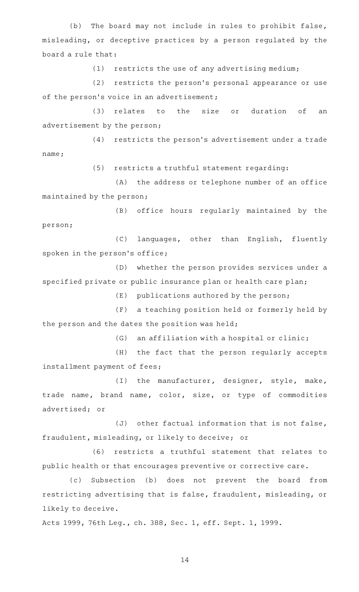(b) The board may not include in rules to prohibit false, misleading, or deceptive practices by a person regulated by the board a rule that:

 $(1)$  restricts the use of any advertising medium;

(2) restricts the person's personal appearance or use of the person's voice in an advertisement;

(3) relates to the size or duration of an advertisement by the person;

 $(4)$  restricts the person's advertisement under a trade name;

(5) restricts a truthful statement regarding:

(A) the address or telephone number of an office maintained by the person;

(B) office hours regularly maintained by the person;

(C) languages, other than English, fluently spoken in the person's office;

(D) whether the person provides services under a specified private or public insurance plan or health care plan;

 $(E)$  publications authored by the person;

(F) a teaching position held or formerly held by the person and the dates the position was held;

 $(G)$  an affiliation with a hospital or clinic;

(H) the fact that the person regularly accepts installment payment of fees;

(I) the manufacturer, designer, style, make, trade name, brand name, color, size, or type of commodities advertised; or

 $(J)$  other factual information that is not false, fraudulent, misleading, or likely to deceive; or

(6) restricts a truthful statement that relates to public health or that encourages preventive or corrective care.

(c) Subsection (b) does not prevent the board from restricting advertising that is false, fraudulent, misleading, or likely to deceive.

Acts 1999, 76th Leg., ch. 388, Sec. 1, eff. Sept. 1, 1999.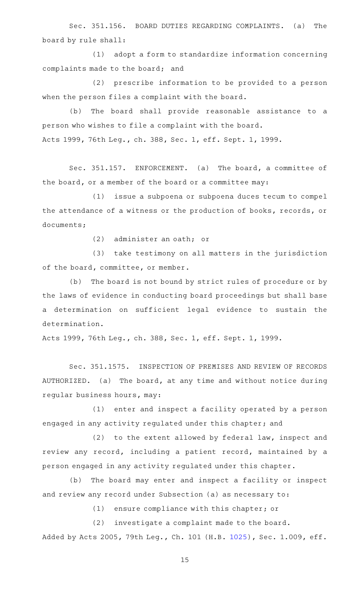Sec. 351.156. BOARD DUTIES REGARDING COMPLAINTS. (a) The board by rule shall:

(1) adopt a form to standardize information concerning complaints made to the board; and

(2) prescribe information to be provided to a person when the person files a complaint with the board.

(b) The board shall provide reasonable assistance to a person who wishes to file a complaint with the board. Acts 1999, 76th Leg., ch. 388, Sec. 1, eff. Sept. 1, 1999.

Sec. 351.157. ENFORCEMENT. (a) The board, a committee of the board, or a member of the board or a committee may:

(1) issue a subpoena or subpoena duces tecum to compel the attendance of a witness or the production of books, records, or documents;

 $(2)$  administer an oath; or

(3) take testimony on all matters in the jurisdiction of the board, committee, or member.

(b) The board is not bound by strict rules of procedure or by the laws of evidence in conducting board proceedings but shall base a determination on sufficient legal evidence to sustain the determination.

Acts 1999, 76th Leg., ch. 388, Sec. 1, eff. Sept. 1, 1999.

Sec. 351.1575. INSPECTION OF PREMISES AND REVIEW OF RECORDS AUTHORIZED. (a) The board, at any time and without notice during regular business hours, may:

(1) enter and inspect a facility operated by a person engaged in any activity regulated under this chapter; and

 $(2)$  to the extent allowed by federal law, inspect and review any record, including a patient record, maintained by a person engaged in any activity regulated under this chapter.

(b) The board may enter and inspect a facility or inspect and review any record under Subsection (a) as necessary to:

 $(1)$  ensure compliance with this chapter; or

(2) investigate a complaint made to the board. Added by Acts 2005, 79th Leg., Ch. 101 (H.B. [1025](http://www.legis.state.tx.us/tlodocs/79R/billtext/html/HB01025F.HTM)), Sec. 1.009, eff.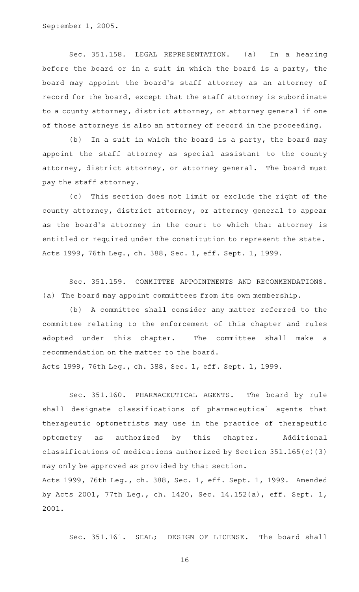September 1, 2005.

Sec. 351.158. LEGAL REPRESENTATION. (a) In a hearing before the board or in a suit in which the board is a party, the board may appoint the board's staff attorney as an attorney of record for the board, except that the staff attorney is subordinate to a county attorney, district attorney, or attorney general if one of those attorneys is also an attorney of record in the proceeding.

(b) In a suit in which the board is a party, the board may appoint the staff attorney as special assistant to the county attorney, district attorney, or attorney general. The board must pay the staff attorney.

(c) This section does not limit or exclude the right of the county attorney, district attorney, or attorney general to appear as the board's attorney in the court to which that attorney is entitled or required under the constitution to represent the state. Acts 1999, 76th Leg., ch. 388, Sec. 1, eff. Sept. 1, 1999.

Sec. 351.159. COMMITTEE APPOINTMENTS AND RECOMMENDATIONS. (a) The board may appoint committees from its own membership.

(b) A committee shall consider any matter referred to the committee relating to the enforcement of this chapter and rules adopted under this chapter. The committee shall make a recommendation on the matter to the board.

Acts 1999, 76th Leg., ch. 388, Sec. 1, eff. Sept. 1, 1999.

Sec. 351.160. PHARMACEUTICAL AGENTS. The board by rule shall designate classifications of pharmaceutical agents that therapeutic optometrists may use in the practice of therapeutic optometry as authorized by this chapter. Additional classifications of medications authorized by Section 351.165(c)(3) may only be approved as provided by that section.

Acts 1999, 76th Leg., ch. 388, Sec. 1, eff. Sept. 1, 1999. Amended by Acts 2001, 77th Leg., ch. 1420, Sec. 14.152(a), eff. Sept. 1, 2001.

Sec. 351.161. SEAL; DESIGN OF LICENSE. The board shall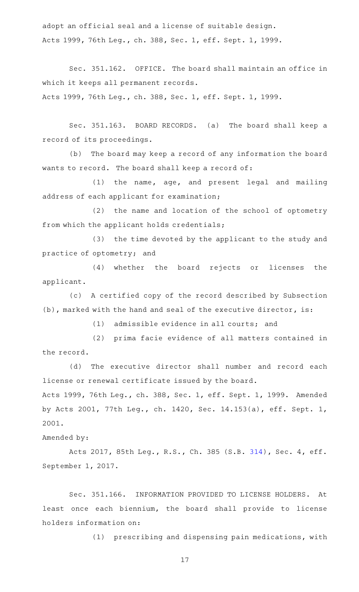adopt an official seal and a license of suitable design. Acts 1999, 76th Leg., ch. 388, Sec. 1, eff. Sept. 1, 1999.

Sec. 351.162. OFFICE. The board shall maintain an office in which it keeps all permanent records.

Acts 1999, 76th Leg., ch. 388, Sec. 1, eff. Sept. 1, 1999.

Sec. 351.163. BOARD RECORDS. (a) The board shall keep a record of its proceedings.

(b) The board may keep a record of any information the board wants to record. The board shall keep a record of:

(1) the name, age, and present legal and mailing address of each applicant for examination;

(2) the name and location of the school of optometry from which the applicant holds credentials;

(3) the time devoted by the applicant to the study and practice of optometry; and

(4) whether the board rejects or licenses the applicant.

(c) A certified copy of the record described by Subsection (b), marked with the hand and seal of the executive director, is:

(1) admissible evidence in all courts; and

(2) prima facie evidence of all matters contained in the record.

(d) The executive director shall number and record each license or renewal certificate issued by the board.

Acts 1999, 76th Leg., ch. 388, Sec. 1, eff. Sept. 1, 1999. Amended by Acts 2001, 77th Leg., ch. 1420, Sec. 14.153(a), eff. Sept. 1, 2001.

# Amended by:

Acts 2017, 85th Leg., R.S., Ch. 385 (S.B. [314](http://www.legis.state.tx.us/tlodocs/85R/billtext/html/SB00314F.HTM)), Sec. 4, eff. September 1, 2017.

Sec. 351.166. INFORMATION PROVIDED TO LICENSE HOLDERS. At least once each biennium, the board shall provide to license holders information on:

(1) prescribing and dispensing pain medications, with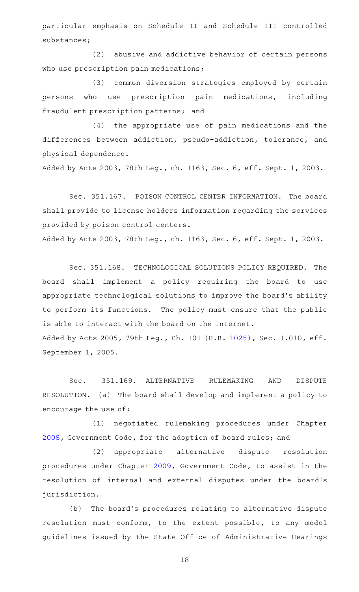particular emphasis on Schedule II and Schedule III controlled substances;

(2) abusive and addictive behavior of certain persons who use prescription pain medications;

(3) common diversion strategies employed by certain persons who use prescription pain medications, including fraudulent prescription patterns; and

(4) the appropriate use of pain medications and the differences between addiction, pseudo-addiction, tolerance, and physical dependence.

Added by Acts 2003, 78th Leg., ch. 1163, Sec. 6, eff. Sept. 1, 2003.

Sec. 351.167. POISON CONTROL CENTER INFORMATION. The board shall provide to license holders information regarding the services provided by poison control centers.

Added by Acts 2003, 78th Leg., ch. 1163, Sec. 6, eff. Sept. 1, 2003.

Sec. 351.168. TECHNOLOGICAL SOLUTIONS POLICY REQUIRED. The board shall implement a policy requiring the board to use appropriate technological solutions to improve the board's ability to perform its functions. The policy must ensure that the public is able to interact with the board on the Internet. Added by Acts 2005, 79th Leg., Ch. 101 (H.B. [1025](http://www.legis.state.tx.us/tlodocs/79R/billtext/html/HB01025F.HTM)), Sec. 1.010, eff. September 1, 2005.

Sec. 351.169. ALTERNATIVE RULEMAKING AND DISPUTE RESOLUTION. (a) The board shall develop and implement a policy to encourage the use of:

(1) negotiated rulemaking procedures under Chapter [2008](https://statutes.capitol.texas.gov/GetStatute.aspx?Code=GV&Value=2008), Government Code, for the adoption of board rules; and

(2) appropriate alternative dispute resolution procedures under Chapter [2009,](https://statutes.capitol.texas.gov/GetStatute.aspx?Code=GV&Value=2009) Government Code, to assist in the resolution of internal and external disputes under the board's jurisdiction.

(b) The board's procedures relating to alternative dispute resolution must conform, to the extent possible, to any model guidelines issued by the State Office of Administrative Hearings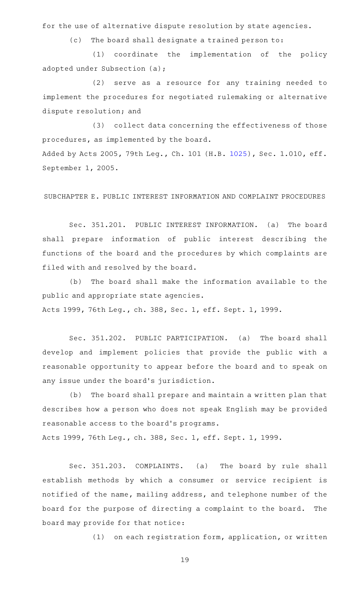for the use of alternative dispute resolution by state agencies.

(c) The board shall designate a trained person to:

(1) coordinate the implementation of the policy adopted under Subsection (a);

 $(2)$  serve as a resource for any training needed to implement the procedures for negotiated rulemaking or alternative dispute resolution; and

(3) collect data concerning the effectiveness of those procedures, as implemented by the board. Added by Acts 2005, 79th Leg., Ch. 101 (H.B. [1025](http://www.legis.state.tx.us/tlodocs/79R/billtext/html/HB01025F.HTM)), Sec. 1.010, eff. September 1, 2005.

SUBCHAPTER E. PUBLIC INTEREST INFORMATION AND COMPLAINT PROCEDURES

Sec. 351.201. PUBLIC INTEREST INFORMATION. (a) The board shall prepare information of public interest describing the functions of the board and the procedures by which complaints are filed with and resolved by the board.

(b) The board shall make the information available to the public and appropriate state agencies. Acts 1999, 76th Leg., ch. 388, Sec. 1, eff. Sept. 1, 1999.

Sec. 351.202. PUBLIC PARTICIPATION. (a) The board shall develop and implement policies that provide the public with a reasonable opportunity to appear before the board and to speak on any issue under the board's jurisdiction.

(b) The board shall prepare and maintain a written plan that describes how a person who does not speak English may be provided reasonable access to the board's programs.

Acts 1999, 76th Leg., ch. 388, Sec. 1, eff. Sept. 1, 1999.

Sec. 351.203. COMPLAINTS. (a) The board by rule shall establish methods by which a consumer or service recipient is notified of the name, mailing address, and telephone number of the board for the purpose of directing a complaint to the board. The board may provide for that notice:

(1) on each registration form, application, or written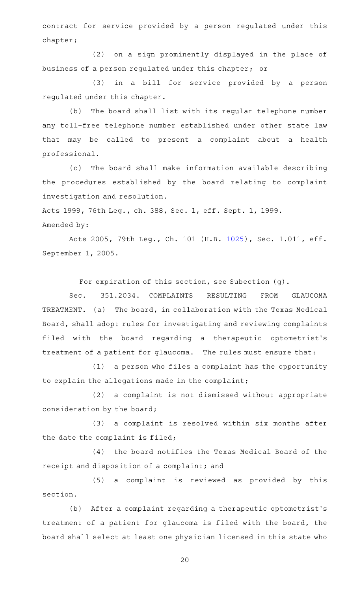contract for service provided by a person regulated under this chapter;

(2) on a sign prominently displayed in the place of business of a person regulated under this chapter; or

(3) in a bill for service provided by a person regulated under this chapter.

(b) The board shall list with its regular telephone number any toll-free telephone number established under other state law that may be called to present a complaint about a health professional.

(c) The board shall make information available describing the procedures established by the board relating to complaint investigation and resolution.

Acts 1999, 76th Leg., ch. 388, Sec. 1, eff. Sept. 1, 1999. Amended by:

Acts 2005, 79th Leg., Ch. 101 (H.B. [1025](http://www.legis.state.tx.us/tlodocs/79R/billtext/html/HB01025F.HTM)), Sec. 1.011, eff. September 1, 2005.

For expiration of this section, see Subection (g).

Sec. 351.2034. COMPLAINTS RESULTING FROM GLAUCOMA TREATMENT. (a) The board, in collaboration with the Texas Medical Board, shall adopt rules for investigating and reviewing complaints filed with the board regarding a therapeutic optometrist 's treatment of a patient for glaucoma. The rules must ensure that:

(1) a person who files a complaint has the opportunity to explain the allegations made in the complaint;

(2) a complaint is not dismissed without appropriate consideration by the board;

(3) a complaint is resolved within six months after the date the complaint is filed;

(4) the board notifies the Texas Medical Board of the receipt and disposition of a complaint; and

(5) a complaint is reviewed as provided by this section.

(b) After a complaint regarding a therapeutic optometrist's treatment of a patient for glaucoma is filed with the board, the board shall select at least one physician licensed in this state who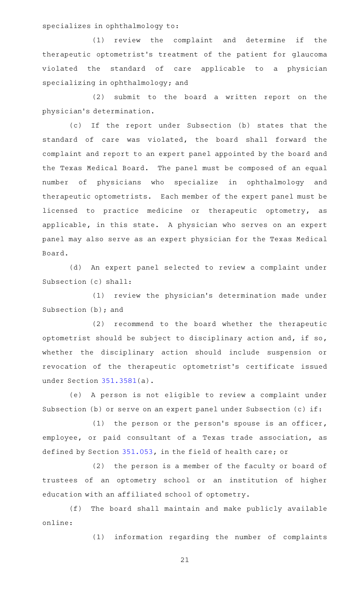specializes in ophthalmology to:

 $(1)$  review the complaint and determine if the therapeutic optometrist 's treatment of the patient for glaucoma violated the standard of care applicable to a physician specializing in ophthalmology; and

 $(2)$  submit to the board a written report on the physician 's determination.

(c) If the report under Subsection (b) states that the standard of care was violated, the board shall forward the complaint and report to an expert panel appointed by the board and the Texas Medical Board. The panel must be composed of an equal number of physicians who specialize in ophthalmology and therapeutic optometrists. Each member of the expert panel must be licensed to practice medicine or therapeutic optometry, as applicable, in this state. A physician who serves on an expert panel may also serve as an expert physician for the Texas Medical Board.

(d) An expert panel selected to review a complaint under Subsection (c) shall:

(1) review the physician's determination made under Subsection (b); and

(2) recommend to the board whether the therapeutic optometrist should be subject to disciplinary action and, if so, whether the disciplinary action should include suspension or revocation of the therapeutic optometrist 's certificate issued under Section [351.3581](https://statutes.capitol.texas.gov/GetStatute.aspx?Code=OC&Value=351.3581)(a).

(e) A person is not eligible to review a complaint under Subsection (b) or serve on an expert panel under Subsection (c) if:

(1) the person or the person's spouse is an officer, employee, or paid consultant of a Texas trade association, as defined by Section [351.053,](https://statutes.capitol.texas.gov/GetStatute.aspx?Code=OC&Value=351.053) in the field of health care; or

(2) the person is a member of the faculty or board of trustees of an optometry school or an institution of higher education with an affiliated school of optometry.

(f) The board shall maintain and make publicly available online:

(1) information regarding the number of complaints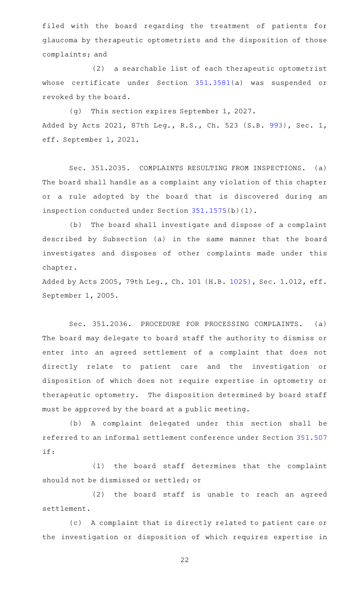filed with the board regarding the treatment of patients for glaucoma by therapeutic optometrists and the disposition of those complaints; and

(2) a searchable list of each therapeutic optometrist whose certificate under Section [351.3581\(](https://statutes.capitol.texas.gov/GetStatute.aspx?Code=OC&Value=351.3581)a) was suspended or revoked by the board.

(g) This section expires September 1, 2027. Added by Acts 2021, 87th Leg., R.S., Ch. 523 (S.B. [993](http://www.legis.state.tx.us/tlodocs/87R/billtext/html/SB00993F.HTM)), Sec. 1, eff. September 1, 2021.

Sec. 351.2035. COMPLAINTS RESULTING FROM INSPECTIONS. (a) The board shall handle as a complaint any violation of this chapter or a rule adopted by the board that is discovered during an inspection conducted under Section [351.1575\(](https://statutes.capitol.texas.gov/GetStatute.aspx?Code=OC&Value=351.1575)b)(1).

(b) The board shall investigate and dispose of a complaint described by Subsection (a) in the same manner that the board investigates and disposes of other complaints made under this chapter.

Added by Acts 2005, 79th Leg., Ch. 101 (H.B. [1025](http://www.legis.state.tx.us/tlodocs/79R/billtext/html/HB01025F.HTM)), Sec. 1.012, eff. September 1, 2005.

Sec. 351.2036. PROCEDURE FOR PROCESSING COMPLAINTS. (a) The board may delegate to board staff the authority to dismiss or enter into an agreed settlement of a complaint that does not directly relate to patient care and the investigation or disposition of which does not require expertise in optometry or therapeutic optometry. The disposition determined by board staff must be approved by the board at a public meeting.

(b) A complaint delegated under this section shall be referred to an informal settlement conference under Section [351.507](https://statutes.capitol.texas.gov/GetStatute.aspx?Code=OC&Value=351.507) if:

(1) the board staff determines that the complaint should not be dismissed or settled; or

(2) the board staff is unable to reach an agreed settlement.

(c) A complaint that is directly related to patient care or the investigation or disposition of which requires expertise in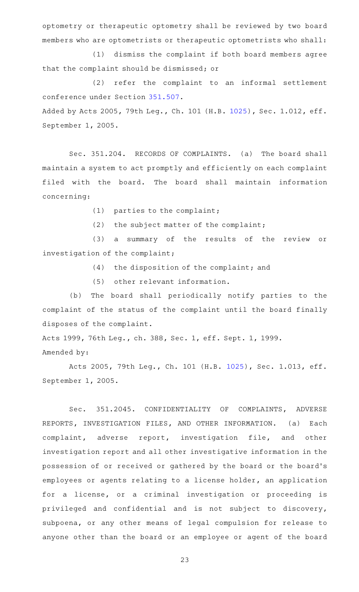optometry or therapeutic optometry shall be reviewed by two board members who are optometrists or therapeutic optometrists who shall:

(1) dismiss the complaint if both board members agree that the complaint should be dismissed; or

(2) refer the complaint to an informal settlement conference under Section [351.507.](https://statutes.capitol.texas.gov/GetStatute.aspx?Code=OC&Value=351.507) Added by Acts 2005, 79th Leg., Ch. 101 (H.B. [1025](http://www.legis.state.tx.us/tlodocs/79R/billtext/html/HB01025F.HTM)), Sec. 1.012, eff. September 1, 2005.

Sec. 351.204. RECORDS OF COMPLAINTS. (a) The board shall maintain a system to act promptly and efficiently on each complaint filed with the board. The board shall maintain information concerning:

(1) parties to the complaint;

(2) the subject matter of the complaint;

(3) a summary of the results of the review or investigation of the complaint;

 $(4)$  the disposition of the complaint; and

(5) other relevant information.

(b) The board shall periodically notify parties to the complaint of the status of the complaint until the board finally disposes of the complaint.

Acts 1999, 76th Leg., ch. 388, Sec. 1, eff. Sept. 1, 1999. Amended by:

Acts 2005, 79th Leg., Ch. 101 (H.B. [1025](http://www.legis.state.tx.us/tlodocs/79R/billtext/html/HB01025F.HTM)), Sec. 1.013, eff. September 1, 2005.

Sec. 351.2045. CONFIDENTIALITY OF COMPLAINTS, ADVERSE REPORTS, INVESTIGATION FILES, AND OTHER INFORMATION. (a) Each complaint, adverse report, investigation file, and other investigation report and all other investigative information in the possession of or received or gathered by the board or the board 's employees or agents relating to a license holder, an application for a license, or a criminal investigation or proceeding is privileged and confidential and is not subject to discovery, subpoena, or any other means of legal compulsion for release to anyone other than the board or an employee or agent of the board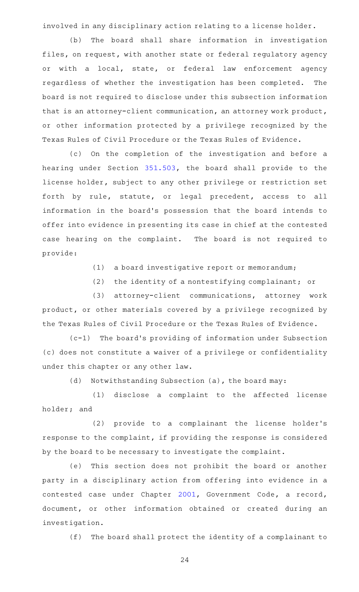involved in any disciplinary action relating to a license holder.

(b) The board shall share information in investigation files, on request, with another state or federal regulatory agency or with a local, state, or federal law enforcement agency regardless of whether the investigation has been completed. The board is not required to disclose under this subsection information that is an attorney-client communication, an attorney work product, or other information protected by a privilege recognized by the Texas Rules of Civil Procedure or the Texas Rules of Evidence.

(c) On the completion of the investigation and before a hearing under Section [351.503](https://statutes.capitol.texas.gov/GetStatute.aspx?Code=OC&Value=351.503), the board shall provide to the license holder, subject to any other privilege or restriction set forth by rule, statute, or legal precedent, access to all information in the board's possession that the board intends to offer into evidence in presenting its case in chief at the contested case hearing on the complaint. The board is not required to provide:

 $(1)$  a board investigative report or memorandum;

(2) the identity of a nontestifying complainant; or

(3) attorney-client communications, attorney work product, or other materials covered by a privilege recognized by the Texas Rules of Civil Procedure or the Texas Rules of Evidence.

 $(c-1)$  The board's providing of information under Subsection (c) does not constitute a waiver of a privilege or confidentiality under this chapter or any other law.

(d) Notwithstanding Subsection (a), the board may:

(1) disclose a complaint to the affected license holder; and

(2) provide to a complainant the license holder's response to the complaint, if providing the response is considered by the board to be necessary to investigate the complaint.

(e) This section does not prohibit the board or another party in a disciplinary action from offering into evidence in a contested case under Chapter [2001,](https://statutes.capitol.texas.gov/GetStatute.aspx?Code=GV&Value=2001) Government Code, a record, document, or other information obtained or created during an investigation.

(f) The board shall protect the identity of a complainant to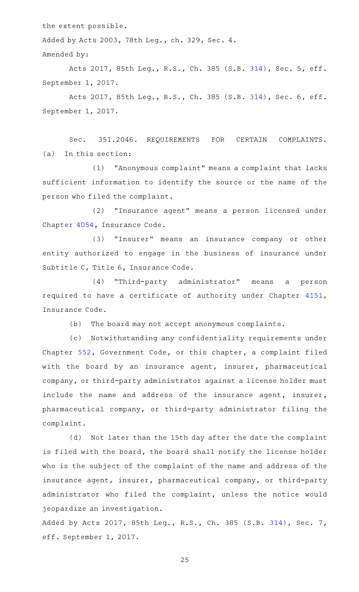the extent possible.

Added by Acts 2003, 78th Leg., ch. 329, Sec. 4.

Amended by:

Acts 2017, 85th Leg., R.S., Ch. 385 (S.B. [314](http://www.legis.state.tx.us/tlodocs/85R/billtext/html/SB00314F.HTM)), Sec. 5, eff. September 1, 2017.

Acts 2017, 85th Leg., R.S., Ch. 385 (S.B. [314](http://www.legis.state.tx.us/tlodocs/85R/billtext/html/SB00314F.HTM)), Sec. 6, eff. September 1, 2017.

Sec. 351.2046. REQUIREMENTS FOR CERTAIN COMPLAINTS.  $(a)$  In this section:

(1) "Anonymous complaint" means a complaint that lacks sufficient information to identify the source or the name of the person who filed the complaint.

(2) "Insurance agent" means a person licensed under Chapter [4054](https://statutes.capitol.texas.gov/GetStatute.aspx?Code=IN&Value=4054), Insurance Code.

(3) "Insurer" means an insurance company or other entity authorized to engage in the business of insurance under Subtitle C, Title 6, Insurance Code.

(4) "Third-party administrator" means a person required to have a certificate of authority under Chapter [4151](https://statutes.capitol.texas.gov/GetStatute.aspx?Code=IN&Value=4151), Insurance Code.

(b) The board may not accept anonymous complaints.

(c) Notwithstanding any confidentiality requirements under Chapter [552](https://statutes.capitol.texas.gov/GetStatute.aspx?Code=GV&Value=552), Government Code, or this chapter, a complaint filed with the board by an insurance agent, insurer, pharmaceutical company, or third-party administrator against a license holder must include the name and address of the insurance agent, insurer, pharmaceutical company, or third-party administrator filing the complaint.

(d) Not later than the 15th day after the date the complaint is filed with the board, the board shall notify the license holder who is the subject of the complaint of the name and address of the insurance agent, insurer, pharmaceutical company, or third-party administrator who filed the complaint, unless the notice would jeopardize an investigation.

Added by Acts 2017, 85th Leg., R.S., Ch. 385 (S.B. [314](http://www.legis.state.tx.us/tlodocs/85R/billtext/html/SB00314F.HTM)), Sec. 7, eff. September 1, 2017.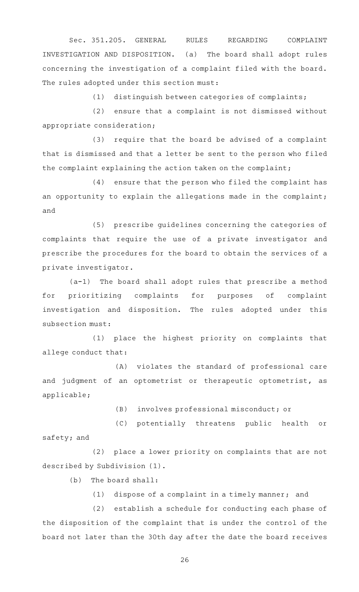Sec. 351.205. GENERAL RULES REGARDING COMPLAINT INVESTIGATION AND DISPOSITION. (a) The board shall adopt rules concerning the investigation of a complaint filed with the board. The rules adopted under this section must:

 $(1)$  distinguish between categories of complaints;

 $(2)$  ensure that a complaint is not dismissed without appropriate consideration;

 $(3)$  require that the board be advised of a complaint that is dismissed and that a letter be sent to the person who filed the complaint explaining the action taken on the complaint;

(4) ensure that the person who filed the complaint has an opportunity to explain the allegations made in the complaint; and

(5) prescribe quidelines concerning the categories of complaints that require the use of a private investigator and prescribe the procedures for the board to obtain the services of a private investigator.

 $(a-1)$  The board shall adopt rules that prescribe a method for prioritizing complaints for purposes of complaint investigation and disposition. The rules adopted under this subsection must:

(1) place the highest priority on complaints that allege conduct that:

(A) violates the standard of professional care and judgment of an optometrist or therapeutic optometrist, as applicable;

(B) involves professional misconduct; or

(C) potentially threatens public health or safety; and

(2) place a lower priority on complaints that are not described by Subdivision (1).

 $(b)$  The board shall:

(1) dispose of a complaint in a timely manner; and

(2) establish a schedule for conducting each phase of the disposition of the complaint that is under the control of the board not later than the 30th day after the date the board receives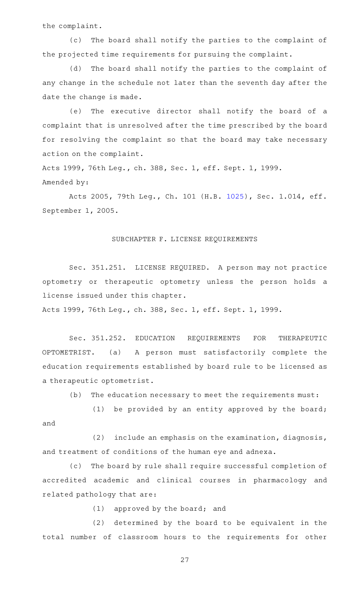the complaint.

(c) The board shall notify the parties to the complaint of the projected time requirements for pursuing the complaint.

(d) The board shall notify the parties to the complaint of any change in the schedule not later than the seventh day after the date the change is made.

(e) The executive director shall notify the board of a complaint that is unresolved after the time prescribed by the board for resolving the complaint so that the board may take necessary action on the complaint.

Acts 1999, 76th Leg., ch. 388, Sec. 1, eff. Sept. 1, 1999. Amended by:

Acts 2005, 79th Leg., Ch. 101 (H.B. [1025](http://www.legis.state.tx.us/tlodocs/79R/billtext/html/HB01025F.HTM)), Sec. 1.014, eff. September 1, 2005.

### SUBCHAPTER F. LICENSE REQUIREMENTS

Sec. 351.251. LICENSE REQUIRED. A person may not practice optometry or therapeutic optometry unless the person holds a license issued under this chapter.

Acts 1999, 76th Leg., ch. 388, Sec. 1, eff. Sept. 1, 1999.

Sec. 351.252. EDUCATION REQUIREMENTS FOR THERAPEUTIC OPTOMETRIST. (a) A person must satisfactorily complete the education requirements established by board rule to be licensed as a therapeutic optometrist.

(b) The education necessary to meet the requirements must:

(1) be provided by an entity approved by the board; and

(2) include an emphasis on the examination, diagnosis, and treatment of conditions of the human eye and adnexa.

(c) The board by rule shall require successful completion of accredited academic and clinical courses in pharmacology and related pathology that are:

 $(1)$  approved by the board; and

(2) determined by the board to be equivalent in the total number of classroom hours to the requirements for other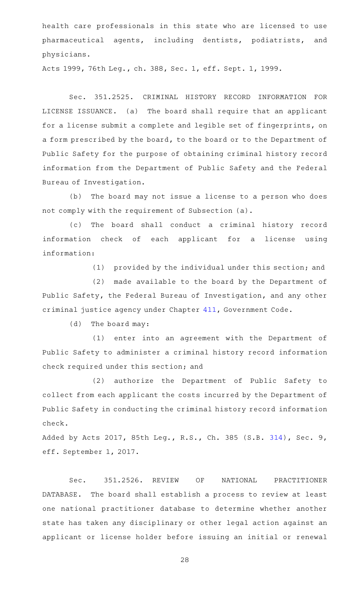health care professionals in this state who are licensed to use pharmaceutical agents, including dentists, podiatrists, and physicians.

Acts 1999, 76th Leg., ch. 388, Sec. 1, eff. Sept. 1, 1999.

Sec. 351.2525. CRIMINAL HISTORY RECORD INFORMATION FOR LICENSE ISSUANCE. (a) The board shall require that an applicant for a license submit a complete and legible set of fingerprints, on a form prescribed by the board, to the board or to the Department of Public Safety for the purpose of obtaining criminal history record information from the Department of Public Safety and the Federal Bureau of Investigation.

(b) The board may not issue a license to a person who does not comply with the requirement of Subsection (a).

(c) The board shall conduct a criminal history record information check of each applicant for a license using information:

 $(1)$  provided by the individual under this section; and

(2) made available to the board by the Department of Public Safety, the Federal Bureau of Investigation, and any other criminal justice agency under Chapter [411,](https://statutes.capitol.texas.gov/GetStatute.aspx?Code=GV&Value=411) Government Code.

 $(d)$  The board may:

(1) enter into an agreement with the Department of Public Safety to administer a criminal history record information check required under this section; and

(2) authorize the Department of Public Safety to collect from each applicant the costs incurred by the Department of Public Safety in conducting the criminal history record information check.

Added by Acts 2017, 85th Leg., R.S., Ch. 385 (S.B. [314](http://www.legis.state.tx.us/tlodocs/85R/billtext/html/SB00314F.HTM)), Sec. 9, eff. September 1, 2017.

Sec. 351.2526. REVIEW OF NATIONAL PRACTITIONER DATABASE. The board shall establish a process to review at least one national practitioner database to determine whether another state has taken any disciplinary or other legal action against an applicant or license holder before issuing an initial or renewal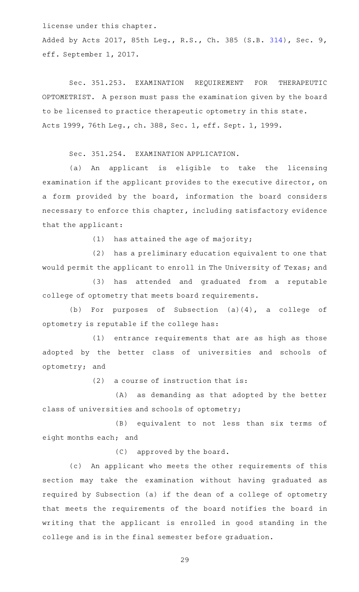license under this chapter.

Added by Acts 2017, 85th Leg., R.S., Ch. 385 (S.B. [314](http://www.legis.state.tx.us/tlodocs/85R/billtext/html/SB00314F.HTM)), Sec. 9, eff. September 1, 2017.

Sec. 351.253. EXAMINATION REQUIREMENT FOR THERAPEUTIC OPTOMETRIST. A person must pass the examination given by the board to be licensed to practice therapeutic optometry in this state. Acts 1999, 76th Leg., ch. 388, Sec. 1, eff. Sept. 1, 1999.

Sec. 351.254. EXAMINATION APPLICATION.

(a) An applicant is eligible to take the licensing examination if the applicant provides to the executive director, on a form provided by the board, information the board considers necessary to enforce this chapter, including satisfactory evidence that the applicant:

(1) has attained the age of majority;

(2) has a preliminary education equivalent to one that would permit the applicant to enroll in The University of Texas; and

(3) has attended and graduated from a reputable college of optometry that meets board requirements.

(b) For purposes of Subsection  $(a)(4)$ , a college of optometry is reputable if the college has:

 $(1)$  entrance requirements that are as high as those adopted by the better class of universities and schools of optometry; and

 $(2)$  a course of instruction that is:

(A) as demanding as that adopted by the better class of universities and schools of optometry;

(B) equivalent to not less than six terms of eight months each; and

 $(C)$  approved by the board.

(c) An applicant who meets the other requirements of this section may take the examination without having graduated as required by Subsection (a) if the dean of a college of optometry that meets the requirements of the board notifies the board in writing that the applicant is enrolled in good standing in the college and is in the final semester before graduation.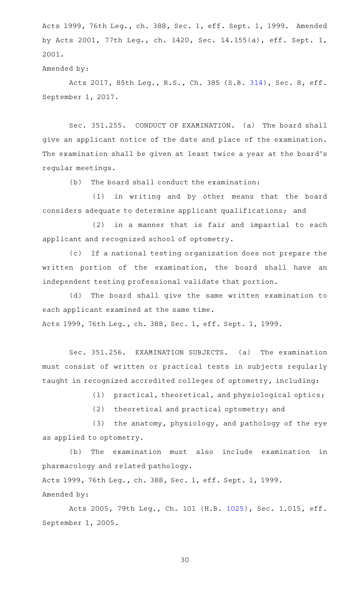Acts 1999, 76th Leg., ch. 388, Sec. 1, eff. Sept. 1, 1999. Amended by Acts 2001, 77th Leg., ch. 1420, Sec. 14.155(a), eff. Sept. 1, 2001.

Amended by:

Acts 2017, 85th Leg., R.S., Ch. 385 (S.B. [314](http://www.legis.state.tx.us/tlodocs/85R/billtext/html/SB00314F.HTM)), Sec. 8, eff. September 1, 2017.

Sec. 351.255. CONDUCT OF EXAMINATION. (a) The board shall give an applicant notice of the date and place of the examination. The examination shall be given at least twice a year at the board's regular meetings.

 $(b)$  The board shall conduct the examination:

(1) in writing and by other means that the board considers adequate to determine applicant qualifications; and

 $(2)$  in a manner that is fair and impartial to each applicant and recognized school of optometry.

(c) If a national testing organization does not prepare the written portion of the examination, the board shall have an independent testing professional validate that portion.

(d) The board shall give the same written examination to each applicant examined at the same time. Acts 1999, 76th Leg., ch. 388, Sec. 1, eff. Sept. 1, 1999.

Sec. 351.256. EXAMINATION SUBJECTS. (a) The examination must consist of written or practical tests in subjects regularly taught in recognized accredited colleges of optometry, including:

(1)  $practical, theoretical, and physical optical optics;$ 

(2) theoretical and practical optometry; and

(3) the anatomy, physiology, and pathology of the eye as applied to optometry.

(b) The examination must also include examination in pharmacology and related pathology.

Acts 1999, 76th Leg., ch. 388, Sec. 1, eff. Sept. 1, 1999. Amended by:

Acts 2005, 79th Leg., Ch. 101 (H.B. [1025](http://www.legis.state.tx.us/tlodocs/79R/billtext/html/HB01025F.HTM)), Sec. 1.015, eff. September 1, 2005.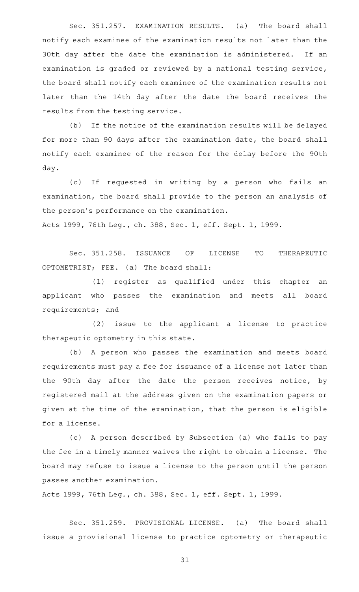Sec. 351.257. EXAMINATION RESULTS. (a) The board shall notify each examinee of the examination results not later than the 30th day after the date the examination is administered. If an examination is graded or reviewed by a national testing service, the board shall notify each examinee of the examination results not later than the 14th day after the date the board receives the results from the testing service.

(b) If the notice of the examination results will be delayed for more than 90 days after the examination date, the board shall notify each examinee of the reason for the delay before the 90th day.

(c) If requested in writing by a person who fails an examination, the board shall provide to the person an analysis of the person's performance on the examination. Acts 1999, 76th Leg., ch. 388, Sec. 1, eff. Sept. 1, 1999.

Sec. 351.258. ISSUANCE OF LICENSE TO THERAPEUTIC OPTOMETRIST; FEE. (a) The board shall:

(1) register as qualified under this chapter an applicant who passes the examination and meets all board requirements; and

(2) issue to the applicant a license to practice therapeutic optometry in this state.

(b) A person who passes the examination and meets board requirements must pay a fee for issuance of a license not later than the 90th day after the date the person receives notice, by registered mail at the address given on the examination papers or given at the time of the examination, that the person is eligible for a license.

(c) A person described by Subsection (a) who fails to pay the fee in a timely manner waives the right to obtain a license. The board may refuse to issue a license to the person until the person passes another examination.

Acts 1999, 76th Leg., ch. 388, Sec. 1, eff. Sept. 1, 1999.

Sec. 351.259. PROVISIONAL LICENSE. (a) The board shall issue a provisional license to practice optometry or therapeutic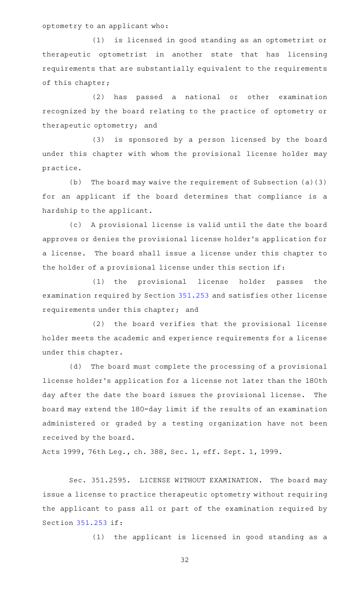optometry to an applicant who:

(1) is licensed in good standing as an optometrist or therapeutic optometrist in another state that has licensing requirements that are substantially equivalent to the requirements of this chapter;

(2) has passed a national or other examination recognized by the board relating to the practice of optometry or therapeutic optometry; and

(3) is sponsored by a person licensed by the board under this chapter with whom the provisional license holder may practice.

(b) The board may waive the requirement of Subsection  $(a)(3)$ for an applicant if the board determines that compliance is a hardship to the applicant.

(c) A provisional license is valid until the date the board approves or denies the provisional license holder 's application for a license. The board shall issue a license under this chapter to the holder of a provisional license under this section if:

(1) the provisional license holder passes the examination required by Section [351.253](https://statutes.capitol.texas.gov/GetStatute.aspx?Code=OC&Value=351.253) and satisfies other license requirements under this chapter; and

(2) the board verifies that the provisional license holder meets the academic and experience requirements for a license under this chapter.

(d) The board must complete the processing of a provisional license holder 's application for a license not later than the 180th day after the date the board issues the provisional license. The board may extend the 180-day limit if the results of an examination administered or graded by a testing organization have not been received by the board.

Acts 1999, 76th Leg., ch. 388, Sec. 1, eff. Sept. 1, 1999.

Sec. 351.2595. LICENSE WITHOUT EXAMINATION. The board may issue a license to practice therapeutic optometry without requiring the applicant to pass all or part of the examination required by Section [351.253](https://statutes.capitol.texas.gov/GetStatute.aspx?Code=OC&Value=351.253) if:

(1) the applicant is licensed in good standing as a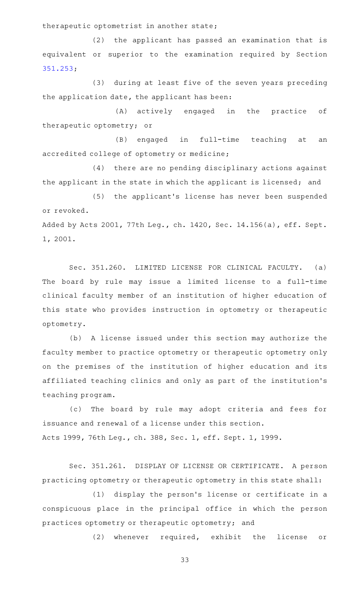therapeutic optometrist in another state;

(2) the applicant has passed an examination that is equivalent or superior to the examination required by Section [351.253;](https://statutes.capitol.texas.gov/GetStatute.aspx?Code=OC&Value=351.253)

(3) during at least five of the seven years preceding the application date, the applicant has been:

(A) actively engaged in the practice of therapeutic optometry; or

(B) engaged in full-time teaching at an accredited college of optometry or medicine;

(4) there are no pending disciplinary actions against the applicant in the state in which the applicant is licensed; and

(5) the applicant's license has never been suspended or revoked. Added by Acts 2001, 77th Leg., ch. 1420, Sec. 14.156(a), eff. Sept.

1, 2001.

Sec. 351.260. LIMITED LICENSE FOR CLINICAL FACULTY. (a) The board by rule may issue a limited license to a full-time clinical faculty member of an institution of higher education of this state who provides instruction in optometry or therapeutic optometry.

(b) A license issued under this section may authorize the faculty member to practice optometry or therapeutic optometry only on the premises of the institution of higher education and its affiliated teaching clinics and only as part of the institution 's teaching program.

(c) The board by rule may adopt criteria and fees for issuance and renewal of a license under this section. Acts 1999, 76th Leg., ch. 388, Sec. 1, eff. Sept. 1, 1999.

Sec. 351.261. DISPLAY OF LICENSE OR CERTIFICATE. A person practicing optometry or therapeutic optometry in this state shall:

(1) display the person's license or certificate in a conspicuous place in the principal office in which the person practices optometry or therapeutic optometry; and

(2) whenever required, exhibit the license or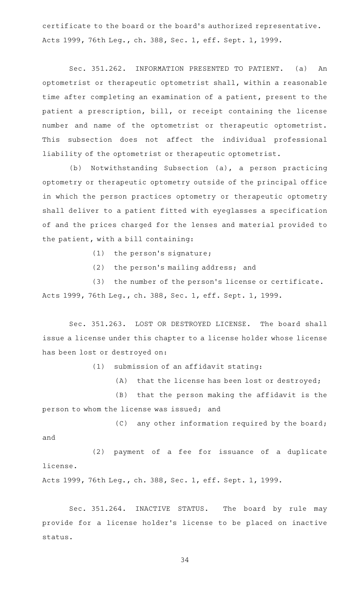certificate to the board or the board 's authorized representative. Acts 1999, 76th Leg., ch. 388, Sec. 1, eff. Sept. 1, 1999.

Sec. 351.262. INFORMATION PRESENTED TO PATIENT. (a) An optometrist or therapeutic optometrist shall, within a reasonable time after completing an examination of a patient, present to the patient a prescription, bill, or receipt containing the license number and name of the optometrist or therapeutic optometrist. This subsection does not affect the individual professional liability of the optometrist or therapeutic optometrist.

(b) Notwithstanding Subsection (a), a person practicing optometry or therapeutic optometry outside of the principal office in which the person practices optometry or therapeutic optometry shall deliver to a patient fitted with eyeglasses a specification of and the prices charged for the lenses and material provided to the patient, with a bill containing:

(1) the person's signature;

 $(2)$  the person's mailing address; and

(3) the number of the person's license or certificate. Acts 1999, 76th Leg., ch. 388, Sec. 1, eff. Sept. 1, 1999.

Sec. 351.263. LOST OR DESTROYED LICENSE. The board shall issue a license under this chapter to a license holder whose license has been lost or destroyed on:

 $(1)$  submission of an affidavit stating:

(A) that the license has been lost or destroyed;

 $(B)$  that the person making the affidavit is the person to whom the license was issued; and

 $(C)$  any other information required by the board; and

(2) payment of a fee for issuance of a duplicate license.

Acts 1999, 76th Leg., ch. 388, Sec. 1, eff. Sept. 1, 1999.

Sec. 351.264. INACTIVE STATUS. The board by rule may provide for a license holder 's license to be placed on inactive status.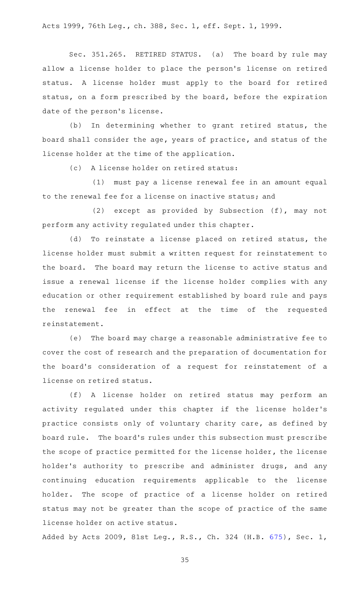Acts 1999, 76th Leg., ch. 388, Sec. 1, eff. Sept. 1, 1999.

Sec. 351.265. RETIRED STATUS. (a) The board by rule may allow a license holder to place the person's license on retired status. A license holder must apply to the board for retired status, on a form prescribed by the board, before the expiration date of the person's license.

(b) In determining whether to grant retired status, the board shall consider the age, years of practice, and status of the license holder at the time of the application.

(c) A license holder on retired status:

(1) must pay a license renewal fee in an amount equal to the renewal fee for a license on inactive status; and

(2) except as provided by Subsection (f), may not perform any activity regulated under this chapter.

(d) To reinstate a license placed on retired status, the license holder must submit a written request for reinstatement to the board. The board may return the license to active status and issue a renewal license if the license holder complies with any education or other requirement established by board rule and pays the renewal fee in effect at the time of the requested reinstatement.

(e) The board may charge a reasonable administrative fee to cover the cost of research and the preparation of documentation for the board's consideration of a request for reinstatement of a license on retired status.

(f)AAA license holder on retired status may perform an activity regulated under this chapter if the license holder 's practice consists only of voluntary charity care, as defined by board rule. The board's rules under this subsection must prescribe the scope of practice permitted for the license holder, the license holder 's authority to prescribe and administer drugs, and any continuing education requirements applicable to the license holder. The scope of practice of a license holder on retired status may not be greater than the scope of practice of the same license holder on active status.

Added by Acts 2009, 81st Leg., R.S., Ch. 324 (H.B. [675](http://www.legis.state.tx.us/tlodocs/81R/billtext/html/HB00675F.HTM)), Sec. 1,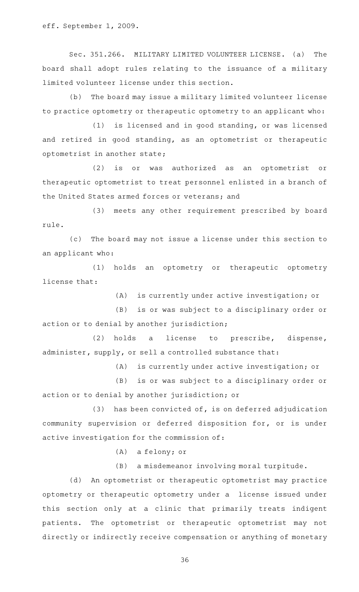Sec. 351.266. MILITARY LIMITED VOLUNTEER LICENSE. (a) The board shall adopt rules relating to the issuance of a military limited volunteer license under this section.

(b) The board may issue a military limited volunteer license to practice optometry or therapeutic optometry to an applicant who:

(1) is licensed and in good standing, or was licensed and retired in good standing, as an optometrist or therapeutic optometrist in another state;

(2) is or was authorized as an optometrist or therapeutic optometrist to treat personnel enlisted in a branch of the United States armed forces or veterans; and

(3) meets any other requirement prescribed by board rule.

(c) The board may not issue a license under this section to an applicant who:

(1) holds an optometry or therapeutic optometry license that:

 $(A)$  is currently under active investigation; or

(B) is or was subject to a disciplinary order or action or to denial by another jurisdiction;

(2) holds a license to prescribe, dispense, administer, supply, or sell a controlled substance that:

(A) is currently under active investigation; or

(B) is or was subject to a disciplinary order or action or to denial by another jurisdiction; or

 $(3)$  has been convicted of, is on deferred adjudication community supervision or deferred disposition for, or is under active investigation for the commission of:

 $(A)$  a felony; or

(B) a misdemeanor involving moral turpitude.

(d) An optometrist or therapeutic optometrist may practice optometry or therapeutic optometry under a license issued under this section only at a clinic that primarily treats indigent patients. The optometrist or therapeutic optometrist may not directly or indirectly receive compensation or anything of monetary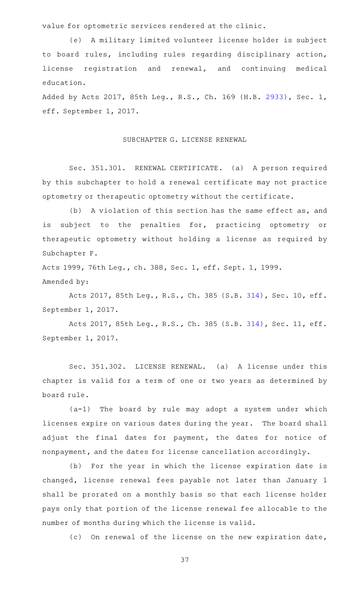value for optometric services rendered at the clinic.

(e) A military limited volunteer license holder is subject to board rules, including rules regarding disciplinary action, license registration and renewal, and continuing medical education.

Added by Acts 2017, 85th Leg., R.S., Ch. 169 (H.B. [2933](http://www.legis.state.tx.us/tlodocs/85R/billtext/html/HB02933F.HTM)), Sec. 1, eff. September 1, 2017.

## SUBCHAPTER G. LICENSE RENEWAL

Sec. 351.301. RENEWAL CERTIFICATE. (a) A person required by this subchapter to hold a renewal certificate may not practice optometry or therapeutic optometry without the certificate.

(b) A violation of this section has the same effect as, and is subject to the penalties for, practicing optometry or therapeutic optometry without holding a license as required by Subchapter F.

Acts 1999, 76th Leg., ch. 388, Sec. 1, eff. Sept. 1, 1999. Amended by:

Acts 2017, 85th Leg., R.S., Ch. 385 (S.B. [314\)](http://www.legis.state.tx.us/tlodocs/85R/billtext/html/SB00314F.HTM), Sec. 10, eff. September 1, 2017.

Acts 2017, 85th Leg., R.S., Ch. 385 (S.B. [314\)](http://www.legis.state.tx.us/tlodocs/85R/billtext/html/SB00314F.HTM), Sec. 11, eff. September 1, 2017.

Sec. 351.302. LICENSE RENEWAL. (a) A license under this chapter is valid for a term of one or two years as determined by board rule.

 $(a-1)$  The board by rule may adopt a system under which licenses expire on various dates during the year. The board shall adjust the final dates for payment, the dates for notice of nonpayment, and the dates for license cancellation accordingly.

(b) For the year in which the license expiration date is changed, license renewal fees payable not later than January 1 shall be prorated on a monthly basis so that each license holder pays only that portion of the license renewal fee allocable to the number of months during which the license is valid.

(c) On renewal of the license on the new expiration date,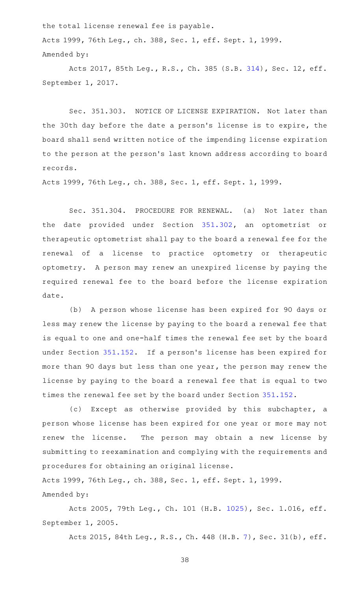the total license renewal fee is payable. Acts 1999, 76th Leg., ch. 388, Sec. 1, eff. Sept. 1, 1999. Amended by:

Acts 2017, 85th Leg., R.S., Ch. 385 (S.B. [314\)](http://www.legis.state.tx.us/tlodocs/85R/billtext/html/SB00314F.HTM), Sec. 12, eff. September 1, 2017.

Sec. 351.303. NOTICE OF LICENSE EXPIRATION. Not later than the 30th day before the date a person 's license is to expire, the board shall send written notice of the impending license expiration to the person at the person 's last known address according to board records.

Acts 1999, 76th Leg., ch. 388, Sec. 1, eff. Sept. 1, 1999.

Sec. 351.304. PROCEDURE FOR RENEWAL. (a) Not later than the date provided under Section [351.302,](https://statutes.capitol.texas.gov/GetStatute.aspx?Code=OC&Value=351.302) an optometrist or therapeutic optometrist shall pay to the board a renewal fee for the renewal of a license to practice optometry or therapeutic optometry. A person may renew an unexpired license by paying the required renewal fee to the board before the license expiration date.

(b) A person whose license has been expired for 90 days or less may renew the license by paying to the board a renewal fee that is equal to one and one-half times the renewal fee set by the board under Section [351.152](https://statutes.capitol.texas.gov/GetStatute.aspx?Code=OC&Value=351.152). If a person's license has been expired for more than 90 days but less than one year, the person may renew the license by paying to the board a renewal fee that is equal to two times the renewal fee set by the board under Section [351.152.](https://statutes.capitol.texas.gov/GetStatute.aspx?Code=OC&Value=351.152)

(c) Except as otherwise provided by this subchapter, a person whose license has been expired for one year or more may not renew the license. The person may obtain a new license by submitting to reexamination and complying with the requirements and procedures for obtaining an original license.

Acts 1999, 76th Leg., ch. 388, Sec. 1, eff. Sept. 1, 1999. Amended by:

Acts 2005, 79th Leg., Ch. 101 (H.B. [1025](http://www.legis.state.tx.us/tlodocs/79R/billtext/html/HB01025F.HTM)), Sec. 1.016, eff. September 1, 2005.

Acts 2015, 84th Leg., R.S., Ch. 448 (H.B. [7](http://www.legis.state.tx.us/tlodocs/84R/billtext/html/HB00007F.HTM)), Sec. 31(b), eff.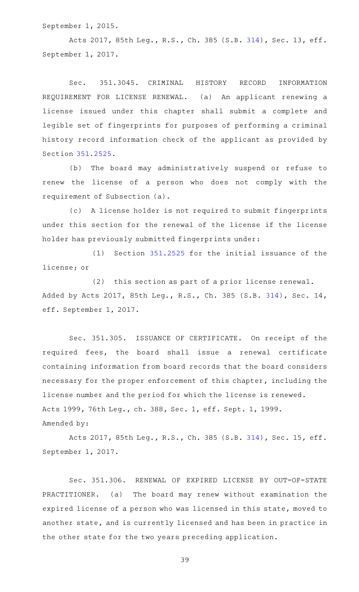September 1, 2015.

Acts 2017, 85th Leg., R.S., Ch. 385 (S.B. [314\)](http://www.legis.state.tx.us/tlodocs/85R/billtext/html/SB00314F.HTM), Sec. 13, eff. September 1, 2017.

Sec. 351.3045. CRIMINAL HISTORY RECORD INFORMATION REQUIREMENT FOR LICENSE RENEWAL. (a) An applicant renewing a license issued under this chapter shall submit a complete and legible set of fingerprints for purposes of performing a criminal history record information check of the applicant as provided by Section [351.2525](https://statutes.capitol.texas.gov/GetStatute.aspx?Code=OC&Value=351.2525).

(b) The board may administratively suspend or refuse to renew the license of a person who does not comply with the requirement of Subsection (a).

(c)AAA license holder is not required to submit fingerprints under this section for the renewal of the license if the license holder has previously submitted fingerprints under:

 $(1)$  Section [351.2525](https://statutes.capitol.texas.gov/GetStatute.aspx?Code=OC&Value=351.2525) for the initial issuance of the license; or

 $(2)$  this section as part of a prior license renewal. Added by Acts 2017, 85th Leg., R.S., Ch. 385 (S.B. [314\)](http://www.legis.state.tx.us/tlodocs/85R/billtext/html/SB00314F.HTM), Sec. 14, eff. September 1, 2017.

Sec. 351.305. ISSUANCE OF CERTIFICATE. On receipt of the required fees, the board shall issue a renewal certificate containing information from board records that the board considers necessary for the proper enforcement of this chapter, including the license number and the period for which the license is renewed. Acts 1999, 76th Leg., ch. 388, Sec. 1, eff. Sept. 1, 1999. Amended by:

Acts 2017, 85th Leg., R.S., Ch. 385 (S.B. [314\)](http://www.legis.state.tx.us/tlodocs/85R/billtext/html/SB00314F.HTM), Sec. 15, eff. September 1, 2017.

Sec. 351.306. RENEWAL OF EXPIRED LICENSE BY OUT-OF-STATE PRACTITIONER. (a) The board may renew without examination the expired license of a person who was licensed in this state, moved to another state, and is currently licensed and has been in practice in the other state for the two years preceding application.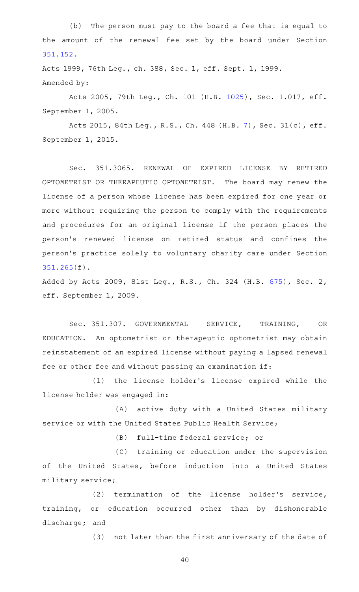(b) The person must pay to the board a fee that is equal to the amount of the renewal fee set by the board under Section [351.152.](https://statutes.capitol.texas.gov/GetStatute.aspx?Code=OC&Value=351.152)

Acts 1999, 76th Leg., ch. 388, Sec. 1, eff. Sept. 1, 1999. Amended by:

Acts 2005, 79th Leg., Ch. 101 (H.B. [1025](http://www.legis.state.tx.us/tlodocs/79R/billtext/html/HB01025F.HTM)), Sec. 1.017, eff. September 1, 2005.

Acts 2015, 84th Leg., R.S., Ch. 448 (H.B. [7](http://www.legis.state.tx.us/tlodocs/84R/billtext/html/HB00007F.HTM)), Sec. 31(c), eff. September 1, 2015.

Sec. 351.3065. RENEWAL OF EXPIRED LICENSE BY RETIRED OPTOMETRIST OR THERAPEUTIC OPTOMETRIST. The board may renew the license of a person whose license has been expired for one year or more without requiring the person to comply with the requirements and procedures for an original license if the person places the person 's renewed license on retired status and confines the person 's practice solely to voluntary charity care under Section [351.265\(](https://statutes.capitol.texas.gov/GetStatute.aspx?Code=OC&Value=351.265)f).

Added by Acts 2009, 81st Leg., R.S., Ch. 324 (H.B. [675](http://www.legis.state.tx.us/tlodocs/81R/billtext/html/HB00675F.HTM)), Sec. 2, eff. September 1, 2009.

Sec. 351.307. GOVERNMENTAL SERVICE, TRAINING, OR EDUCATION. An optometrist or therapeutic optometrist may obtain reinstatement of an expired license without paying a lapsed renewal fee or other fee and without passing an examination if:

(1) the license holder's license expired while the license holder was engaged in:

(A) active duty with a United States military service or with the United States Public Health Service;

(B) full-time federal service; or

(C) training or education under the supervision of the United States, before induction into a United States military service;

(2) termination of the license holder's service, training, or education occurred other than by dishonorable discharge; and

(3) not later than the first anniversary of the date of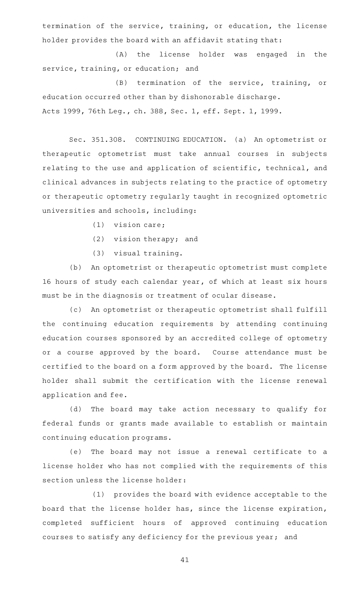termination of the service, training, or education, the license holder provides the board with an affidavit stating that:

(A) the license holder was engaged in the service, training, or education; and

(B) termination of the service, training, or education occurred other than by dishonorable discharge. Acts 1999, 76th Leg., ch. 388, Sec. 1, eff. Sept. 1, 1999.

Sec. 351.308. CONTINUING EDUCATION. (a) An optometrist or therapeutic optometrist must take annual courses in subjects relating to the use and application of scientific, technical, and clinical advances in subjects relating to the practice of optometry or therapeutic optometry regularly taught in recognized optometric universities and schools, including:

- $(1)$  vision care;
- $(2)$  vision therapy; and
- (3) visual training.

(b) An optometrist or therapeutic optometrist must complete 16 hours of study each calendar year, of which at least six hours must be in the diagnosis or treatment of ocular disease.

(c) An optometrist or therapeutic optometrist shall fulfill the continuing education requirements by attending continuing education courses sponsored by an accredited college of optometry or a course approved by the board. Course attendance must be certified to the board on a form approved by the board. The license holder shall submit the certification with the license renewal application and fee.

(d) The board may take action necessary to qualify for federal funds or grants made available to establish or maintain continuing education programs.

(e) The board may not issue a renewal certificate to a license holder who has not complied with the requirements of this section unless the license holder:

(1) provides the board with evidence acceptable to the board that the license holder has, since the license expiration, completed sufficient hours of approved continuing education courses to satisfy any deficiency for the previous year; and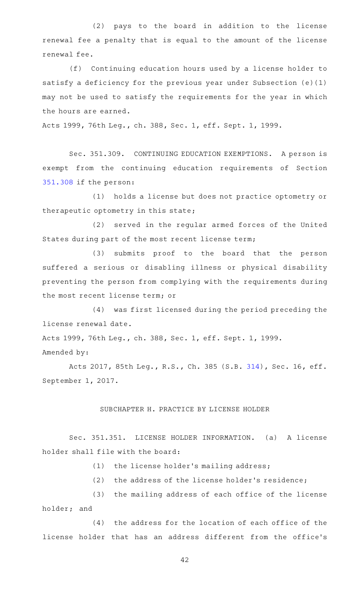(2) pays to the board in addition to the license renewal fee a penalty that is equal to the amount of the license renewal fee.

(f) Continuing education hours used by a license holder to satisfy a deficiency for the previous year under Subsection (e)(1) may not be used to satisfy the requirements for the year in which the hours are earned.

Acts 1999, 76th Leg., ch. 388, Sec. 1, eff. Sept. 1, 1999.

Sec. 351.309. CONTINUING EDUCATION EXEMPTIONS. A person is exempt from the continuing education requirements of Section [351.308](https://statutes.capitol.texas.gov/GetStatute.aspx?Code=OC&Value=351.308) if the person:

(1) holds a license but does not practice optometry or therapeutic optometry in this state;

(2) served in the regular armed forces of the United States during part of the most recent license term;

(3) submits proof to the board that the person suffered a serious or disabling illness or physical disability preventing the person from complying with the requirements during the most recent license term; or

(4) was first licensed during the period preceding the license renewal date.

Acts 1999, 76th Leg., ch. 388, Sec. 1, eff. Sept. 1, 1999. Amended by:

Acts 2017, 85th Leg., R.S., Ch. 385 (S.B. [314\)](http://www.legis.state.tx.us/tlodocs/85R/billtext/html/SB00314F.HTM), Sec. 16, eff. September 1, 2017.

## SUBCHAPTER H. PRACTICE BY LICENSE HOLDER

Sec. 351.351. LICENSE HOLDER INFORMATION. (a) A license holder shall file with the board:

(1) the license holder's mailing address;

(2) the address of the license holder's residence;

(3) the mailing address of each office of the license holder; and

 $(4)$  the address for the location of each office of the license holder that has an address different from the office 's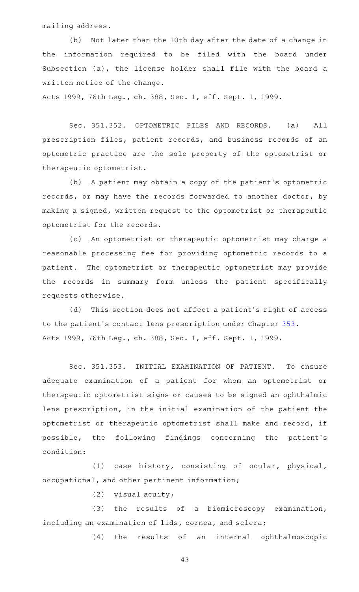mailing address.

(b) Not later than the 10th day after the date of a change in the information required to be filed with the board under Subsection (a), the license holder shall file with the board a written notice of the change.

Acts 1999, 76th Leg., ch. 388, Sec. 1, eff. Sept. 1, 1999.

Sec. 351.352. OPTOMETRIC FILES AND RECORDS. (a) All prescription files, patient records, and business records of an optometric practice are the sole property of the optometrist or therapeutic optometrist.

(b) A patient may obtain a copy of the patient's optometric records, or may have the records forwarded to another doctor, by making a signed, written request to the optometrist or therapeutic optometrist for the records.

(c) An optometrist or therapeutic optometrist may charge a reasonable processing fee for providing optometric records to a patient. The optometrist or therapeutic optometrist may provide the records in summary form unless the patient specifically requests otherwise.

(d) This section does not affect a patient's right of access to the patient's contact lens prescription under Chapter [353](https://statutes.capitol.texas.gov/GetStatute.aspx?Code=OC&Value=353). Acts 1999, 76th Leg., ch. 388, Sec. 1, eff. Sept. 1, 1999.

Sec. 351.353. INITIAL EXAMINATION OF PATIENT. To ensure adequate examination of a patient for whom an optometrist or therapeutic optometrist signs or causes to be signed an ophthalmic lens prescription, in the initial examination of the patient the optometrist or therapeutic optometrist shall make and record, if possible, the following findings concerning the patient 's condition:

(1) case history, consisting of ocular, physical, occupational, and other pertinent information;

 $(2)$  visual acuity;

(3) the results of a biomicroscopy examination, including an examination of lids, cornea, and sclera;

(4) the results of an internal ophthalmoscopic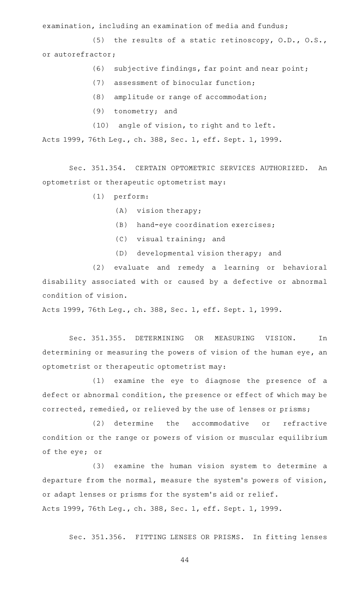examination, including an examination of media and fundus;

(5) the results of a static retinoscopy,  $O.D., O.S.,$ or autorefractor;

- $(6)$  subjective findings, far point and near point;
- (7) assessment of binocular function;
- $(8)$  amplitude or range of accommodation;
- $(9)$  tonometry; and
- (10) angle of vision, to right and to left.

Acts 1999, 76th Leg., ch. 388, Sec. 1, eff. Sept. 1, 1999.

Sec. 351.354. CERTAIN OPTOMETRIC SERVICES AUTHORIZED. An optometrist or therapeutic optometrist may:

- $(1)$  perform:
	- $(A)$  vision therapy;
	- (B) hand-eye coordination exercises;
	- (C) visual training; and
	- (D) developmental vision therapy; and

(2) evaluate and remedy a learning or behavioral disability associated with or caused by a defective or abnormal condition of vision.

Acts 1999, 76th Leg., ch. 388, Sec. 1, eff. Sept. 1, 1999.

Sec. 351.355. DETERMINING OR MEASURING VISION. In determining or measuring the powers of vision of the human eye, an optometrist or therapeutic optometrist may:

(1) examine the eye to diagnose the presence of a defect or abnormal condition, the presence or effect of which may be corrected, remedied, or relieved by the use of lenses or prisms;

(2) determine the accommodative or refractive condition or the range or powers of vision or muscular equilibrium of the eye; or

(3) examine the human vision system to determine a departure from the normal, measure the system's powers of vision, or adapt lenses or prisms for the system 's aid or relief. Acts 1999, 76th Leg., ch. 388, Sec. 1, eff. Sept. 1, 1999.

Sec. 351.356. FITTING LENSES OR PRISMS. In fitting lenses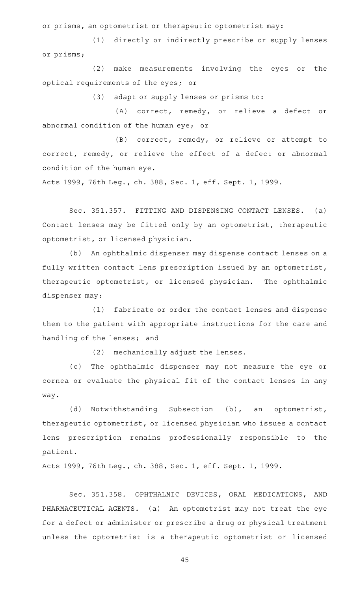or prisms, an optometrist or therapeutic optometrist may:

(1) directly or indirectly prescribe or supply lenses or prisms;

(2) make measurements involving the eyes or the optical requirements of the eyes; or

(3) adapt or supply lenses or prisms to:

(A) correct, remedy, or relieve a defect or abnormal condition of the human eye; or

(B) correct, remedy, or relieve or attempt to correct, remedy, or relieve the effect of a defect or abnormal condition of the human eye.

Acts 1999, 76th Leg., ch. 388, Sec. 1, eff. Sept. 1, 1999.

Sec. 351.357. FITTING AND DISPENSING CONTACT LENSES. (a) Contact lenses may be fitted only by an optometrist, therapeutic optometrist, or licensed physician.

(b) An ophthalmic dispenser may dispense contact lenses on a fully written contact lens prescription issued by an optometrist, therapeutic optometrist, or licensed physician. The ophthalmic dispenser may:

(1) fabricate or order the contact lenses and dispense them to the patient with appropriate instructions for the care and handling of the lenses; and

(2) mechanically adjust the lenses.

(c) The ophthalmic dispenser may not measure the eye or cornea or evaluate the physical fit of the contact lenses in any way.

(d) Notwithstanding Subsection (b), an optometrist, therapeutic optometrist, or licensed physician who issues a contact lens prescription remains professionally responsible to the patient.

Acts 1999, 76th Leg., ch. 388, Sec. 1, eff. Sept. 1, 1999.

Sec. 351.358. OPHTHALMIC DEVICES, ORAL MEDICATIONS, AND PHARMACEUTICAL AGENTS. (a) An optometrist may not treat the eye for a defect or administer or prescribe a drug or physical treatment unless the optometrist is a therapeutic optometrist or licensed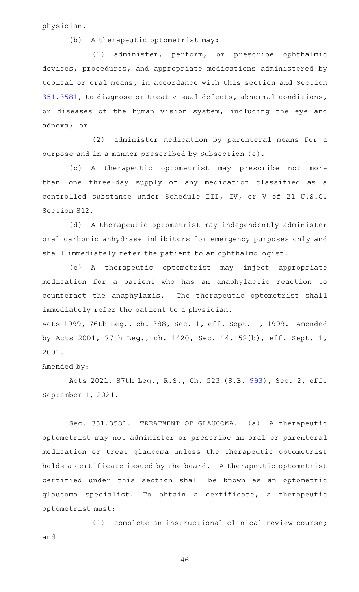physician.

 $(b)$  A therapeutic optometrist may:

(1) administer, perform, or prescribe ophthalmic devices, procedures, and appropriate medications administered by topical or oral means, in accordance with this section and Section [351.3581](https://statutes.capitol.texas.gov/GetStatute.aspx?Code=OC&Value=351.3581), to diagnose or treat visual defects, abnormal conditions, or diseases of the human vision system, including the eye and adnexa; or

(2) administer medication by parenteral means for a purpose and in a manner prescribed by Subsection (e).

(c)AAA therapeutic optometrist may prescribe not more than one three-day supply of any medication classified as a controlled substance under Schedule III, IV, or V of 21 U.S.C. Section 812.

(d) A therapeutic optometrist may independently administer oral carbonic anhydrase inhibitors for emergency purposes only and shall immediately refer the patient to an ophthalmologist.

(e)AAA therapeutic optometrist may inject appropriate medication for a patient who has an anaphylactic reaction to counteract the anaphylaxis. The therapeutic optometrist shall immediately refer the patient to a physician.

Acts 1999, 76th Leg., ch. 388, Sec. 1, eff. Sept. 1, 1999. Amended by Acts 2001, 77th Leg., ch. 1420, Sec. 14.152(b), eff. Sept. 1, 2001.

# Amended by:

Acts 2021, 87th Leg., R.S., Ch. 523 (S.B. [993](http://www.legis.state.tx.us/tlodocs/87R/billtext/html/SB00993F.HTM)), Sec. 2, eff. September 1, 2021.

Sec. 351.3581. TREATMENT OF GLAUCOMA. (a) A therapeutic optometrist may not administer or prescribe an oral or parenteral medication or treat glaucoma unless the therapeutic optometrist holds a certificate issued by the board. A therapeutic optometrist certified under this section shall be known as an optometric glaucoma specialist. To obtain a certificate, a therapeutic optometrist must:

(1) complete an instructional clinical review course; and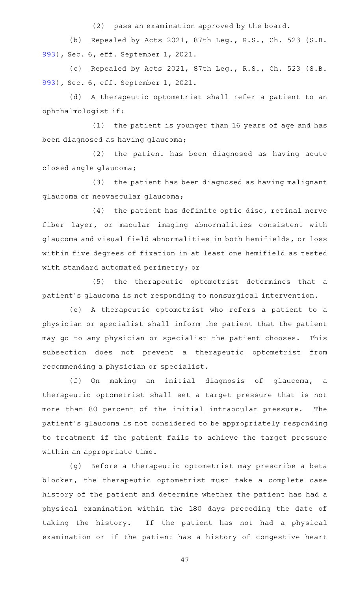$(2)$  pass an examination approved by the board.

(b) Repealed by Acts 2021, 87th Leg., R.S., Ch. 523 (S.B. [993\)](http://www.legis.state.tx.us/tlodocs/87R/billtext/html/SB00993F.HTM), Sec. 6, eff. September 1, 2021.

(c) Repealed by Acts 2021, 87th Leg., R.S., Ch. 523 (S.B. [993\)](http://www.legis.state.tx.us/tlodocs/87R/billtext/html/SB00993F.HTM), Sec. 6, eff. September 1, 2021.

(d) A therapeutic optometrist shall refer a patient to an ophthalmologist if:

(1) the patient is younger than 16 years of age and has been diagnosed as having glaucoma;

(2) the patient has been diagnosed as having acute closed angle glaucoma;

(3) the patient has been diagnosed as having malignant glaucoma or neovascular glaucoma;

 $(4)$  the patient has definite optic disc, retinal nerve fiber layer, or macular imaging abnormalities consistent with glaucoma and visual field abnormalities in both hemifields, or loss within five degrees of fixation in at least one hemifield as tested with standard automated perimetry; or

(5) the therapeutic optometrist determines that a patient 's glaucoma is not responding to nonsurgical intervention.

(e)AAA therapeutic optometrist who refers a patient to a physician or specialist shall inform the patient that the patient may go to any physician or specialist the patient chooses. This subsection does not prevent a therapeutic optometrist from recommending a physician or specialist.

(f) On making an initial diagnosis of glaucoma, a therapeutic optometrist shall set a target pressure that is not more than 80 percent of the initial intraocular pressure. The patient 's glaucoma is not considered to be appropriately responding to treatment if the patient fails to achieve the target pressure within an appropriate time.

(g) Before a therapeutic optometrist may prescribe a beta blocker, the therapeutic optometrist must take a complete case history of the patient and determine whether the patient has had a physical examination within the 180 days preceding the date of taking the history. If the patient has not had a physical examination or if the patient has a history of congestive heart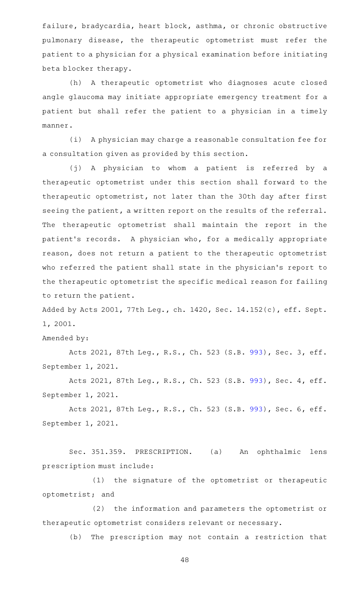failure, bradycardia, heart block, asthma, or chronic obstructive pulmonary disease, the therapeutic optometrist must refer the patient to a physician for a physical examination before initiating beta blocker therapy.

(h) A therapeutic optometrist who diagnoses acute closed angle glaucoma may initiate appropriate emergency treatment for a patient but shall refer the patient to a physician in a timely manner.

(i) A physician may charge a reasonable consultation fee for a consultation given as provided by this section.

(j)AAA physician to whom a patient is referred by a therapeutic optometrist under this section shall forward to the therapeutic optometrist, not later than the 30th day after first seeing the patient, a written report on the results of the referral. The therapeutic optometrist shall maintain the report in the patient 's records. A physician who, for a medically appropriate reason, does not return a patient to the therapeutic optometrist who referred the patient shall state in the physician 's report to the therapeutic optometrist the specific medical reason for failing to return the patient.

Added by Acts 2001, 77th Leg., ch. 1420, Sec. 14.152(c), eff. Sept. 1, 2001.

Amended by:

Acts 2021, 87th Leg., R.S., Ch. 523 (S.B. [993](http://www.legis.state.tx.us/tlodocs/87R/billtext/html/SB00993F.HTM)), Sec. 3, eff. September 1, 2021.

Acts 2021, 87th Leg., R.S., Ch. 523 (S.B. [993](http://www.legis.state.tx.us/tlodocs/87R/billtext/html/SB00993F.HTM)), Sec. 4, eff. September 1, 2021.

Acts 2021, 87th Leg., R.S., Ch. 523 (S.B. [993](http://www.legis.state.tx.us/tlodocs/87R/billtext/html/SB00993F.HTM)), Sec. 6, eff. September 1, 2021.

Sec. 351.359. PRESCRIPTION. (a) An ophthalmic lens prescription must include:

(1) the signature of the optometrist or therapeutic optometrist; and

(2) the information and parameters the optometrist or therapeutic optometrist considers relevant or necessary.

(b) The prescription may not contain a restriction that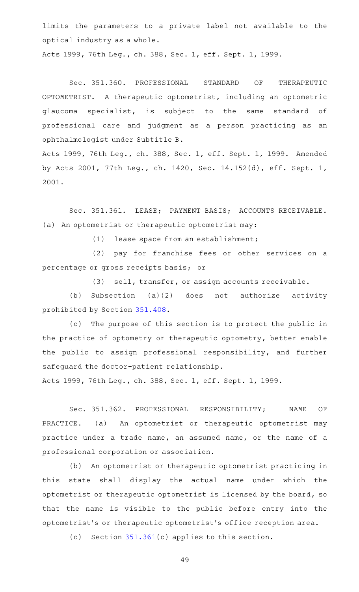limits the parameters to a private label not available to the optical industry as a whole.

Acts 1999, 76th Leg., ch. 388, Sec. 1, eff. Sept. 1, 1999.

Sec. 351.360. PROFESSIONAL STANDARD OF THERAPEUTIC OPTOMETRIST. A therapeutic optometrist, including an optometric glaucoma specialist, is subject to the same standard of professional care and judgment as a person practicing as an ophthalmologist under Subtitle B.

Acts 1999, 76th Leg., ch. 388, Sec. 1, eff. Sept. 1, 1999. Amended by Acts 2001, 77th Leg., ch. 1420, Sec. 14.152(d), eff. Sept. 1, 2001.

Sec. 351.361. LEASE; PAYMENT BASIS; ACCOUNTS RECEIVABLE. (a) An optometrist or therapeutic optometrist may:

(1) lease space from an establishment;

(2) pay for franchise fees or other services on a percentage or gross receipts basis; or

(3) sell, transfer, or assign accounts receivable.

(b) Subsection  $(a)(2)$  does not authorize activity prohibited by Section [351.408](https://statutes.capitol.texas.gov/GetStatute.aspx?Code=OC&Value=351.408).

(c) The purpose of this section is to protect the public in the practice of optometry or therapeutic optometry, better enable the public to assign professional responsibility, and further safeguard the doctor-patient relationship.

Acts 1999, 76th Leg., ch. 388, Sec. 1, eff. Sept. 1, 1999.

Sec. 351.362. PROFESSIONAL RESPONSIBILITY; NAME OF PRACTICE. (a) An optometrist or therapeutic optometrist may practice under a trade name, an assumed name, or the name of a professional corporation or association.

(b) An optometrist or therapeutic optometrist practicing in this state shall display the actual name under which the optometrist or therapeutic optometrist is licensed by the board, so that the name is visible to the public before entry into the optometrist 's or therapeutic optometrist 's office reception area.

(c) Section  $351.361(c)$  $351.361(c)$  applies to this section.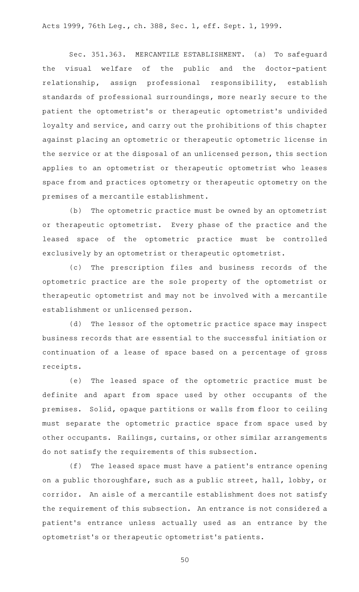Acts 1999, 76th Leg., ch. 388, Sec. 1, eff. Sept. 1, 1999.

Sec. 351.363. MERCANTILE ESTABLISHMENT. (a) To safeguard the visual welfare of the public and the doctor-patient relationship, assign professional responsibility, establish standards of professional surroundings, more nearly secure to the patient the optometrist's or therapeutic optometrist's undivided loyalty and service, and carry out the prohibitions of this chapter against placing an optometric or therapeutic optometric license in the service or at the disposal of an unlicensed person, this section applies to an optometrist or therapeutic optometrist who leases space from and practices optometry or therapeutic optometry on the premises of a mercantile establishment.

(b) The optometric practice must be owned by an optometrist or therapeutic optometrist. Every phase of the practice and the leased space of the optometric practice must be controlled exclusively by an optometrist or therapeutic optometrist.

(c) The prescription files and business records of the optometric practice are the sole property of the optometrist or therapeutic optometrist and may not be involved with a mercantile establishment or unlicensed person.

(d) The lessor of the optometric practice space may inspect business records that are essential to the successful initiation or continuation of a lease of space based on a percentage of gross receipts.

(e) The leased space of the optometric practice must be definite and apart from space used by other occupants of the premises. Solid, opaque partitions or walls from floor to ceiling must separate the optometric practice space from space used by other occupants. Railings, curtains, or other similar arrangements do not satisfy the requirements of this subsection.

(f) The leased space must have a patient's entrance opening on a public thoroughfare, such as a public street, hall, lobby, or corridor. An aisle of a mercantile establishment does not satisfy the requirement of this subsection. An entrance is not considered a patient 's entrance unless actually used as an entrance by the optometrist 's or therapeutic optometrist 's patients.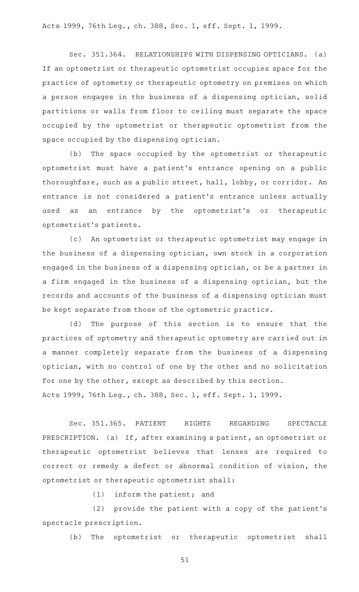Acts 1999, 76th Leg., ch. 388, Sec. 1, eff. Sept. 1, 1999.

Sec. 351.364. RELATIONSHIPS WITH DISPENSING OPTICIANS. (a) If an optometrist or therapeutic optometrist occupies space for the practice of optometry or therapeutic optometry on premises on which a person engages in the business of a dispensing optician, solid partitions or walls from floor to ceiling must separate the space occupied by the optometrist or therapeutic optometrist from the space occupied by the dispensing optician.

(b) The space occupied by the optometrist or therapeutic optometrist must have a patient 's entrance opening on a public thoroughfare, such as a public street, hall, lobby, or corridor. An entrance is not considered a patient 's entrance unless actually used as an entrance by the optometrist's or therapeutic optometrist 's patients.

(c) An optometrist or therapeutic optometrist may engage in the business of a dispensing optician, own stock in a corporation engaged in the business of a dispensing optician, or be a partner in a firm engaged in the business of a dispensing optician, but the records and accounts of the business of a dispensing optician must be kept separate from those of the optometric practice.

(d) The purpose of this section is to ensure that the practices of optometry and therapeutic optometry are carried out in a manner completely separate from the business of a dispensing optician, with no control of one by the other and no solicitation for one by the other, except as described by this section. Acts 1999, 76th Leg., ch. 388, Sec. 1, eff. Sept. 1, 1999.

Sec. 351.365. PATIENT RIGHTS REGARDING SPECTACLE PRESCRIPTION. (a) If, after examining a patient, an optometrist or therapeutic optometrist believes that lenses are required to correct or remedy a defect or abnormal condition of vision, the optometrist or therapeutic optometrist shall:

 $(1)$  inform the patient; and

(2) provide the patient with a copy of the patient's spectacle prescription.

(b) The optometrist or therapeutic optometrist shall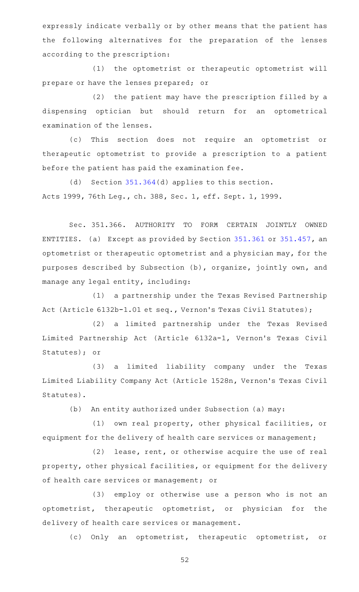expressly indicate verbally or by other means that the patient has the following alternatives for the preparation of the lenses according to the prescription:

(1) the optometrist or therapeutic optometrist will prepare or have the lenses prepared; or

 $(2)$  the patient may have the prescription filled by a dispensing optician but should return for an optometrical examination of the lenses.

(c) This section does not require an optometrist or therapeutic optometrist to provide a prescription to a patient before the patient has paid the examination fee.

(d) Section  $351.364(d)$  $351.364(d)$  applies to this section. Acts 1999, 76th Leg., ch. 388, Sec. 1, eff. Sept. 1, 1999.

Sec. 351.366. AUTHORITY TO FORM CERTAIN JOINTLY OWNED ENTITIES. (a) Except as provided by Section [351.361](https://statutes.capitol.texas.gov/GetStatute.aspx?Code=OC&Value=351.361) or [351.457](https://statutes.capitol.texas.gov/GetStatute.aspx?Code=OC&Value=351.457), an optometrist or therapeutic optometrist and a physician may, for the purposes described by Subsection (b), organize, jointly own, and manage any legal entity, including:

(1) a partnership under the Texas Revised Partnership Act (Article 6132b-1.01 et seq., Vernon 's Texas Civil Statutes);

(2) a limited partnership under the Texas Revised Limited Partnership Act (Article 6132a-1, Vernon's Texas Civil Statutes); or

(3) a limited liability company under the Texas Limited Liability Company Act (Article 1528n, Vernon 's Texas Civil Statutes).

(b) An entity authorized under Subsection (a) may:

(1) own real property, other physical facilities, or equipment for the delivery of health care services or management;

 $(2)$  lease, rent, or otherwise acquire the use of real property, other physical facilities, or equipment for the delivery of health care services or management; or

(3) employ or otherwise use a person who is not an optometrist, therapeutic optometrist, or physician for the delivery of health care services or management.

(c) Only an optometrist, therapeutic optometrist, or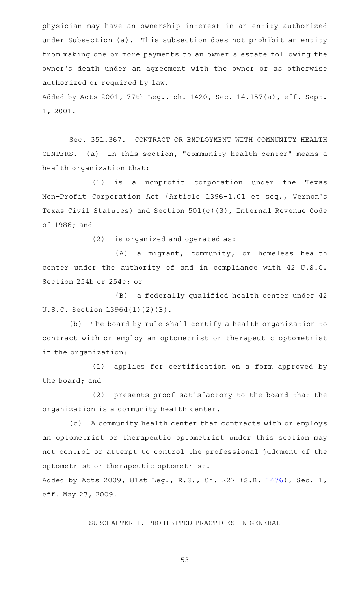physician may have an ownership interest in an entity authorized under Subsection (a). This subsection does not prohibit an entity from making one or more payments to an owner 's estate following the owner 's death under an agreement with the owner or as otherwise authorized or required by law.

Added by Acts 2001, 77th Leg., ch. 1420, Sec. 14.157(a), eff. Sept. 1, 2001.

Sec. 351.367. CONTRACT OR EMPLOYMENT WITH COMMUNITY HEALTH CENTERS. (a) In this section, "community health center" means a health organization that:

(1) is a nonprofit corporation under the Texas Non-Profit Corporation Act (Article 1396-1.01 et seq., Vernon's Texas Civil Statutes) and Section 501(c)(3), Internal Revenue Code of 1986; and

 $(2)$  is organized and operated as:

(A) a migrant, community, or homeless health center under the authority of and in compliance with 42 U.S.C. Section 254b or 254c; or

(B) a federally qualified health center under 42 U.S.C. Section 1396d(l)(2)(B).

(b) The board by rule shall certify a health organization to contract with or employ an optometrist or therapeutic optometrist if the organization:

(1) applies for certification on a form approved by the board; and

(2) presents proof satisfactory to the board that the organization is a community health center.

(c) A community health center that contracts with or employs an optometrist or therapeutic optometrist under this section may not control or attempt to control the professional judgment of the optometrist or therapeutic optometrist.

Added by Acts 2009, 81st Leg., R.S., Ch. 227 (S.B. [1476](http://www.legis.state.tx.us/tlodocs/81R/billtext/html/SB01476F.HTM)), Sec. 1, eff. May 27, 2009.

SUBCHAPTER I. PROHIBITED PRACTICES IN GENERAL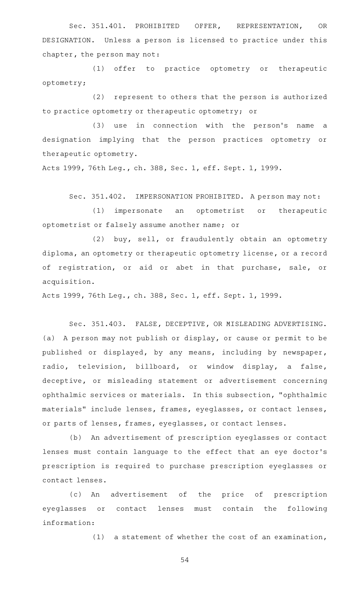Sec. 351.401. PROHIBITED OFFER, REPRESENTATION, OR DESIGNATION. Unless a person is licensed to practice under this chapter, the person may not:

(1) offer to practice optometry or therapeutic optometry;

(2) represent to others that the person is authorized to practice optometry or therapeutic optometry; or

(3) use in connection with the person's name a designation implying that the person practices optometry or therapeutic optometry.

Acts 1999, 76th Leg., ch. 388, Sec. 1, eff. Sept. 1, 1999.

Sec. 351.402. IMPERSONATION PROHIBITED. A person may not:

(1) impersonate an optometrist or therapeutic optometrist or falsely assume another name; or

(2) buy, sell, or fraudulently obtain an optometry diploma, an optometry or therapeutic optometry license, or a record of registration, or aid or abet in that purchase, sale, or acquisition.

Acts 1999, 76th Leg., ch. 388, Sec. 1, eff. Sept. 1, 1999.

Sec. 351.403. FALSE, DECEPTIVE, OR MISLEADING ADVERTISING. (a) A person may not publish or display, or cause or permit to be published or displayed, by any means, including by newspaper, radio, television, billboard, or window display, a false, deceptive, or misleading statement or advertisement concerning ophthalmic services or materials. In this subsection, "ophthalmic materials" include lenses, frames, eyeglasses, or contact lenses, or parts of lenses, frames, eyeglasses, or contact lenses.

(b) An advertisement of prescription eyeglasses or contact lenses must contain language to the effect that an eye doctor 's prescription is required to purchase prescription eyeglasses or contact lenses.

(c) An advertisement of the price of prescription eyeglasses or contact lenses must contain the following information:

 $(1)$  a statement of whether the cost of an examination,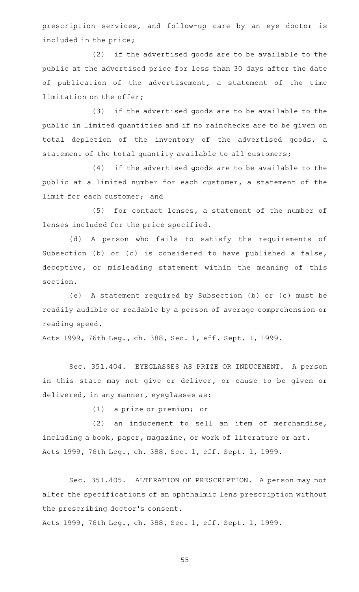prescription services, and follow-up care by an eye doctor is included in the price;

(2) if the advertised goods are to be available to the public at the advertised price for less than 30 days after the date of publication of the advertisement, a statement of the time limitation on the offer;

(3) if the advertised goods are to be available to the public in limited quantities and if no rainchecks are to be given on total depletion of the inventory of the advertised goods, a statement of the total quantity available to all customers;

(4) if the advertised goods are to be available to the public at a limited number for each customer, a statement of the limit for each customer; and

 $(5)$  for contact lenses, a statement of the number of lenses included for the price specified.

(d) A person who fails to satisfy the requirements of Subsection (b) or (c) is considered to have published a false, deceptive, or misleading statement within the meaning of this section.

(e)AAA statement required by Subsection (b) or (c) must be readily audible or readable by a person of average comprehension or reading speed.

Acts 1999, 76th Leg., ch. 388, Sec. 1, eff. Sept. 1, 1999.

Sec. 351.404. EYEGLASSES AS PRIZE OR INDUCEMENT. A person in this state may not give or deliver, or cause to be given or delivered, in any manner, eyeglasses as:

(1) a prize or premium; or

 $(2)$  an inducement to sell an item of merchandise, including a book, paper, magazine, or work of literature or art. Acts 1999, 76th Leg., ch. 388, Sec. 1, eff. Sept. 1, 1999.

Sec. 351.405. ALTERATION OF PRESCRIPTION. A person may not alter the specifications of an ophthalmic lens prescription without the prescribing doctor 's consent.

Acts 1999, 76th Leg., ch. 388, Sec. 1, eff. Sept. 1, 1999.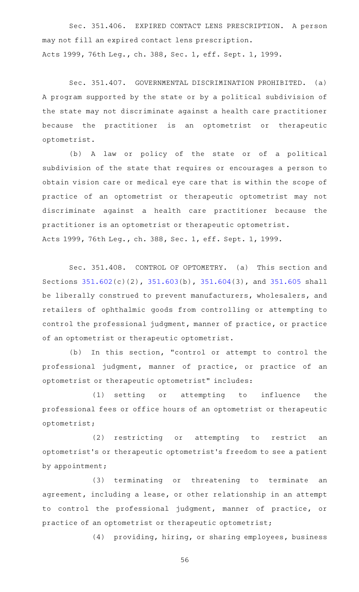Sec. 351.406. EXPIRED CONTACT LENS PRESCRIPTION. A person may not fill an expired contact lens prescription. Acts 1999, 76th Leg., ch. 388, Sec. 1, eff. Sept. 1, 1999.

Sec. 351.407. GOVERNMENTAL DISCRIMINATION PROHIBITED. (a) A program supported by the state or by a political subdivision of the state may not discriminate against a health care practitioner because the practitioner is an optometrist or therapeutic optometrist.

(b)AAA law or policy of the state or of a political subdivision of the state that requires or encourages a person to obtain vision care or medical eye care that is within the scope of practice of an optometrist or therapeutic optometrist may not discriminate against a health care practitioner because the practitioner is an optometrist or therapeutic optometrist. Acts 1999, 76th Leg., ch. 388, Sec. 1, eff. Sept. 1, 1999.

Sec. 351.408. CONTROL OF OPTOMETRY. (a) This section and Sections [351.602](https://statutes.capitol.texas.gov/GetStatute.aspx?Code=OC&Value=351.602)(c)(2), [351.603](https://statutes.capitol.texas.gov/GetStatute.aspx?Code=OC&Value=351.603)(b), [351.604](https://statutes.capitol.texas.gov/GetStatute.aspx?Code=OC&Value=351.604)(3), and [351.605](https://statutes.capitol.texas.gov/GetStatute.aspx?Code=OC&Value=351.605) shall be liberally construed to prevent manufacturers, wholesalers, and retailers of ophthalmic goods from controlling or attempting to control the professional judgment, manner of practice, or practice of an optometrist or therapeutic optometrist.

(b) In this section, "control or attempt to control the professional judgment, manner of practice, or practice of an optometrist or therapeutic optometrist" includes:

(1) setting or attempting to influence the professional fees or office hours of an optometrist or therapeutic optometrist;

(2) restricting or attempting to restrict an optometrist 's or therapeutic optometrist 's freedom to see a patient by appointment;

(3) terminating or threatening to terminate an agreement, including a lease, or other relationship in an attempt to control the professional judgment, manner of practice, or practice of an optometrist or therapeutic optometrist;

(4) providing, hiring, or sharing employees, business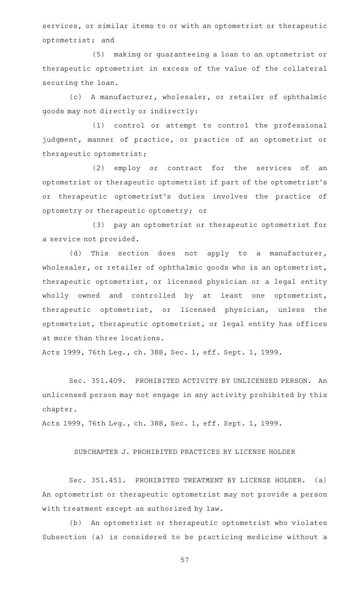services, or similar items to or with an optometrist or therapeutic optometrist; and

(5) making or guaranteeing a loan to an optometrist or therapeutic optometrist in excess of the value of the collateral securing the loan.

(c) A manufacturer, wholesaler, or retailer of ophthalmic goods may not directly or indirectly:

(1) control or attempt to control the professional judgment, manner of practice, or practice of an optometrist or therapeutic optometrist;

(2) employ or contract for the services of an optometrist or therapeutic optometrist if part of the optometrist 's or therapeutic optometrist's duties involves the practice of optometry or therapeutic optometry; or

(3) pay an optometrist or therapeutic optometrist for a service not provided.

(d) This section does not apply to a manufacturer, wholesaler, or retailer of ophthalmic goods who is an optometrist, therapeutic optometrist, or licensed physician or a legal entity wholly owned and controlled by at least one optometrist, therapeutic optometrist, or licensed physician, unless the optometrist, therapeutic optometrist, or legal entity has offices at more than three locations.

Acts 1999, 76th Leg., ch. 388, Sec. 1, eff. Sept. 1, 1999.

Sec. 351.409. PROHIBITED ACTIVITY BY UNLICENSED PERSON. An unlicensed person may not engage in any activity prohibited by this chapter.

Acts 1999, 76th Leg., ch. 388, Sec. 1, eff. Sept. 1, 1999.

SUBCHAPTER J. PROHIBITED PRACTICES BY LICENSE HOLDER

Sec. 351.451. PROHIBITED TREATMENT BY LICENSE HOLDER. (a) An optometrist or therapeutic optometrist may not provide a person with treatment except as authorized by law.

(b) An optometrist or therapeutic optometrist who violates Subsection (a) is considered to be practicing medicine without a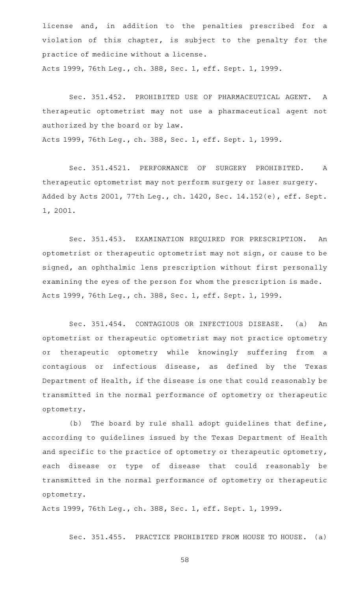license and, in addition to the penalties prescribed for a violation of this chapter, is subject to the penalty for the practice of medicine without a license. Acts 1999, 76th Leg., ch. 388, Sec. 1, eff. Sept. 1, 1999.

Sec. 351.452. PROHIBITED USE OF PHARMACEUTICAL AGENT. A therapeutic optometrist may not use a pharmaceutical agent not authorized by the board or by law. Acts 1999, 76th Leg., ch. 388, Sec. 1, eff. Sept. 1, 1999.

Sec. 351.4521. PERFORMANCE OF SURGERY PROHIBITED. A therapeutic optometrist may not perform surgery or laser surgery. Added by Acts 2001, 77th Leg., ch. 1420, Sec. 14.152(e), eff. Sept. 1, 2001.

Sec. 351.453. EXAMINATION REQUIRED FOR PRESCRIPTION. An optometrist or therapeutic optometrist may not sign, or cause to be signed, an ophthalmic lens prescription without first personally examining the eyes of the person for whom the prescription is made. Acts 1999, 76th Leg., ch. 388, Sec. 1, eff. Sept. 1, 1999.

Sec. 351.454. CONTAGIOUS OR INFECTIOUS DISEASE. (a) An optometrist or therapeutic optometrist may not practice optometry or therapeutic optometry while knowingly suffering from a contagious or infectious disease, as defined by the Texas Department of Health, if the disease is one that could reasonably be transmitted in the normal performance of optometry or therapeutic optometry.

(b) The board by rule shall adopt guidelines that define, according to guidelines issued by the Texas Department of Health and specific to the practice of optometry or therapeutic optometry, each disease or type of disease that could reasonably be transmitted in the normal performance of optometry or therapeutic optometry.

Acts 1999, 76th Leg., ch. 388, Sec. 1, eff. Sept. 1, 1999.

Sec. 351.455. PRACTICE PROHIBITED FROM HOUSE TO HOUSE. (a)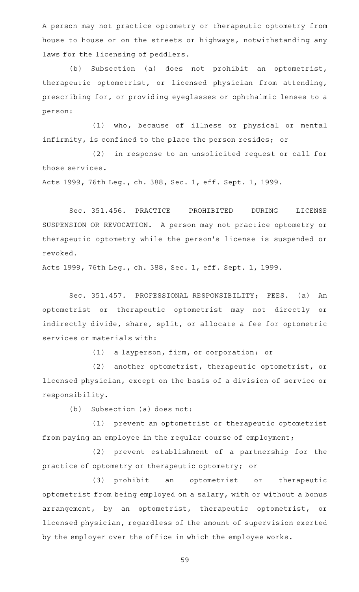A person may not practice optometry or therapeutic optometry from house to house or on the streets or highways, notwithstanding any laws for the licensing of peddlers.

(b) Subsection (a) does not prohibit an optometrist, therapeutic optometrist, or licensed physician from attending, prescribing for, or providing eyeglasses or ophthalmic lenses to a person:

(1) who, because of illness or physical or mental infirmity, is confined to the place the person resides; or

(2) in response to an unsolicited request or call for those services.

Acts 1999, 76th Leg., ch. 388, Sec. 1, eff. Sept. 1, 1999.

Sec. 351.456. PRACTICE PROHIBITED DURING LICENSE SUSPENSION OR REVOCATION. A person may not practice optometry or therapeutic optometry while the person 's license is suspended or revoked.

Acts 1999, 76th Leg., ch. 388, Sec. 1, eff. Sept. 1, 1999.

Sec. 351.457. PROFESSIONAL RESPONSIBILITY; FEES. (a) An optometrist or therapeutic optometrist may not directly or indirectly divide, share, split, or allocate a fee for optometric services or materials with:

(1) a layperson, firm, or corporation; or

(2) another optometrist, therapeutic optometrist, or licensed physician, except on the basis of a division of service or responsibility.

 $(b)$  Subsection (a) does not:

(1) prevent an optometrist or therapeutic optometrist from paying an employee in the regular course of employment;

(2) prevent establishment of a partnership for the practice of optometry or therapeutic optometry; or

(3) prohibit an optometrist or therapeutic optometrist from being employed on a salary, with or without a bonus arrangement, by an optometrist, therapeutic optometrist, or licensed physician, regardless of the amount of supervision exerted by the employer over the office in which the employee works.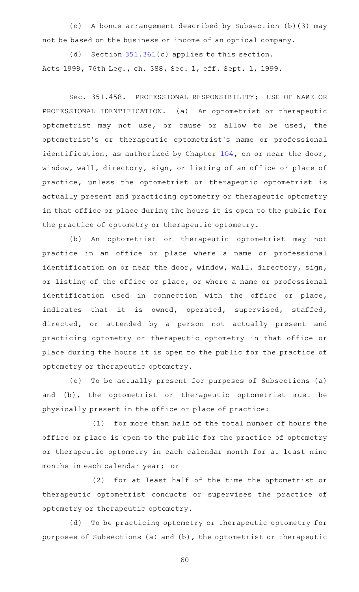(c)AAA bonus arrangement described by Subsection (b)(3) may not be based on the business or income of an optical company.

(d) Section  $351.361(c)$  $351.361(c)$  applies to this section. Acts 1999, 76th Leg., ch. 388, Sec. 1, eff. Sept. 1, 1999.

Sec. 351.458. PROFESSIONAL RESPONSIBILITY; USE OF NAME OR PROFESSIONAL IDENTIFICATION. (a) An optometrist or therapeutic optometrist may not use, or cause or allow to be used, the optometrist 's or therapeutic optometrist 's name or professional identification, as authorized by Chapter [104](https://statutes.capitol.texas.gov/GetStatute.aspx?Code=OC&Value=104), on or near the door, window, wall, directory, sign, or listing of an office or place of practice, unless the optometrist or therapeutic optometrist is actually present and practicing optometry or therapeutic optometry in that office or place during the hours it is open to the public for the practice of optometry or therapeutic optometry.

(b) An optometrist or therapeutic optometrist may not practice in an office or place where a name or professional identification on or near the door, window, wall, directory, sign, or listing of the office or place, or where a name or professional identification used in connection with the office or place, indicates that it is owned, operated, supervised, staffed, directed, or attended by a person not actually present and practicing optometry or therapeutic optometry in that office or place during the hours it is open to the public for the practice of optometry or therapeutic optometry.

(c) To be actually present for purposes of Subsections (a) and (b), the optometrist or therapeutic optometrist must be physically present in the office or place of practice:

(1) for more than half of the total number of hours the office or place is open to the public for the practice of optometry or therapeutic optometry in each calendar month for at least nine months in each calendar year; or

(2) for at least half of the time the optometrist or therapeutic optometrist conducts or supervises the practice of optometry or therapeutic optometry.

(d) To be practicing optometry or therapeutic optometry for purposes of Subsections (a) and (b), the optometrist or therapeutic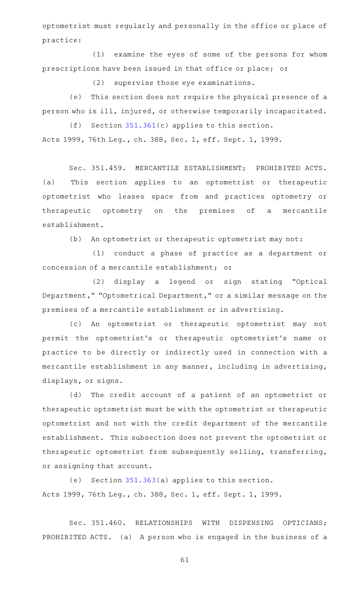optometrist must regularly and personally in the office or place of practice:

(1) examine the eyes of some of the persons for whom prescriptions have been issued in that office or place; or

 $(2)$  supervise those eye examinations.

(e) This section does not require the physical presence of a person who is ill, injured, or otherwise temporarily incapacitated.

(f) Section  $351.361(c)$  $351.361(c)$  applies to this section. Acts 1999, 76th Leg., ch. 388, Sec. 1, eff. Sept. 1, 1999.

Sec. 351.459. MERCANTILE ESTABLISHMENT; PROHIBITED ACTS. (a) This section applies to an optometrist or therapeutic optometrist who leases space from and practices optometry or therapeutic optometry on the premises of a mercantile establishment.

(b) An optometrist or therapeutic optometrist may not:

(1) conduct a phase of practice as a department or concession of a mercantile establishment; or

(2) display a legend or sign stating "Optical Department," "Optometrical Department," or a similar message on the premises of a mercantile establishment or in advertising.

(c)AAAn optometrist or therapeutic optometrist may not permit the optometrist's or therapeutic optometrist's name or practice to be directly or indirectly used in connection with a mercantile establishment in any manner, including in advertising, displays, or signs.

(d) The credit account of a patient of an optometrist or therapeutic optometrist must be with the optometrist or therapeutic optometrist and not with the credit department of the mercantile establishment. This subsection does not prevent the optometrist or therapeutic optometrist from subsequently selling, transferring, or assigning that account.

(e) Section  $351.363(a)$  $351.363(a)$  applies to this section. Acts 1999, 76th Leg., ch. 388, Sec. 1, eff. Sept. 1, 1999.

Sec. 351.460. RELATIONSHIPS WITH DISPENSING OPTICIANS; PROHIBITED ACTS. (a) A person who is engaged in the business of a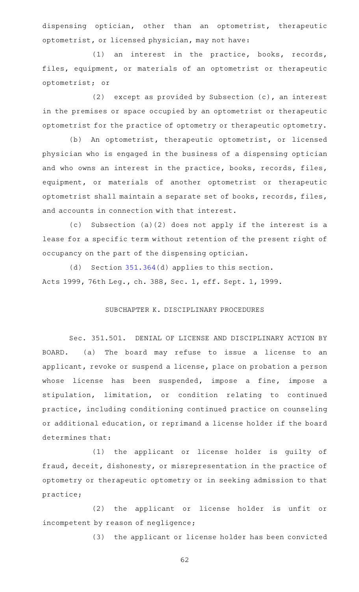dispensing optician, other than an optometrist, therapeutic optometrist, or licensed physician, may not have:

(1) an interest in the practice, books, records, files, equipment, or materials of an optometrist or therapeutic optometrist; or

(2) except as provided by Subsection  $(c)$ , an interest in the premises or space occupied by an optometrist or therapeutic optometrist for the practice of optometry or therapeutic optometry.

(b) An optometrist, therapeutic optometrist, or licensed physician who is engaged in the business of a dispensing optician and who owns an interest in the practice, books, records, files, equipment, or materials of another optometrist or therapeutic optometrist shall maintain a separate set of books, records, files, and accounts in connection with that interest.

(c) Subsection (a)(2) does not apply if the interest is a lease for a specific term without retention of the present right of occupancy on the part of the dispensing optician.

(d) Section  $351.364(d)$  $351.364(d)$  applies to this section. Acts 1999, 76th Leg., ch. 388, Sec. 1, eff. Sept. 1, 1999.

## SUBCHAPTER K. DISCIPLINARY PROCEDURES

Sec. 351.501. DENIAL OF LICENSE AND DISCIPLINARY ACTION BY BOARD. (a) The board may refuse to issue a license to an applicant, revoke or suspend a license, place on probation a person whose license has been suspended, impose a fine, impose a stipulation, limitation, or condition relating to continued practice, including conditioning continued practice on counseling or additional education, or reprimand a license holder if the board determines that:

(1) the applicant or license holder is guilty of fraud, deceit, dishonesty, or misrepresentation in the practice of optometry or therapeutic optometry or in seeking admission to that practice;

(2) the applicant or license holder is unfit or incompetent by reason of negligence;

(3) the applicant or license holder has been convicted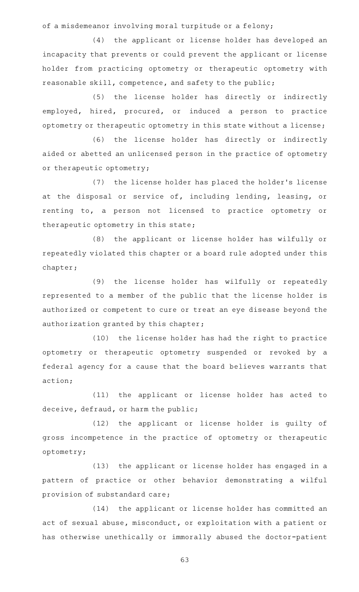of a misdemeanor involving moral turpitude or a felony;

(4) the applicant or license holder has developed an incapacity that prevents or could prevent the applicant or license holder from practicing optometry or therapeutic optometry with reasonable skill, competence, and safety to the public;

(5) the license holder has directly or indirectly employed, hired, procured, or induced a person to practice optometry or therapeutic optometry in this state without a license;

(6) the license holder has directly or indirectly aided or abetted an unlicensed person in the practice of optometry or therapeutic optometry;

(7) the license holder has placed the holder's license at the disposal or service of, including lending, leasing, or renting to, a person not licensed to practice optometry or therapeutic optometry in this state;

(8) the applicant or license holder has wilfully or repeatedly violated this chapter or a board rule adopted under this chapter;

(9) the license holder has wilfully or repeatedly represented to a member of the public that the license holder is authorized or competent to cure or treat an eye disease beyond the authorization granted by this chapter;

(10) the license holder has had the right to practice optometry or therapeutic optometry suspended or revoked by a federal agency for a cause that the board believes warrants that action;

(11) the applicant or license holder has acted to deceive, defraud, or harm the public;

(12) the applicant or license holder is guilty of gross incompetence in the practice of optometry or therapeutic optometry;

(13) the applicant or license holder has engaged in a pattern of practice or other behavior demonstrating a wilful provision of substandard care;

(14) the applicant or license holder has committed an act of sexual abuse, misconduct, or exploitation with a patient or has otherwise unethically or immorally abused the doctor-patient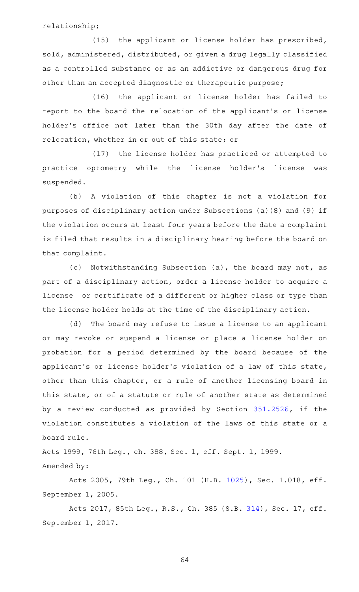relationship;

 $(15)$  the applicant or license holder has prescribed, sold, administered, distributed, or given a drug legally classified as a controlled substance or as an addictive or dangerous drug for other than an accepted diagnostic or therapeutic purpose;

(16) the applicant or license holder has failed to report to the board the relocation of the applicant 's or license holder 's office not later than the 30th day after the date of relocation, whether in or out of this state; or

(17) the license holder has practiced or attempted to practice optometry while the license holder 's license was suspended.

(b) A violation of this chapter is not a violation for purposes of disciplinary action under Subsections (a)(8) and (9) if the violation occurs at least four years before the date a complaint is filed that results in a disciplinary hearing before the board on that complaint.

(c) Notwithstanding Subsection (a), the board may not, as part of a disciplinary action, order a license holder to acquire a license or certificate of a different or higher class or type than the license holder holds at the time of the disciplinary action.

(d) The board may refuse to issue a license to an applicant or may revoke or suspend a license or place a license holder on probation for a period determined by the board because of the applicant 's or license holder 's violation of a law of this state, other than this chapter, or a rule of another licensing board in this state, or of a statute or rule of another state as determined by a review conducted as provided by Section [351.2526](https://statutes.capitol.texas.gov/GetStatute.aspx?Code=OC&Value=351.2526), if the violation constitutes a violation of the laws of this state or a board rule.

Acts 1999, 76th Leg., ch. 388, Sec. 1, eff. Sept. 1, 1999. Amended by:

Acts 2005, 79th Leg., Ch. 101 (H.B. [1025](http://www.legis.state.tx.us/tlodocs/79R/billtext/html/HB01025F.HTM)), Sec. 1.018, eff. September 1, 2005.

Acts 2017, 85th Leg., R.S., Ch. 385 (S.B. [314\)](http://www.legis.state.tx.us/tlodocs/85R/billtext/html/SB00314F.HTM), Sec. 17, eff. September 1, 2017.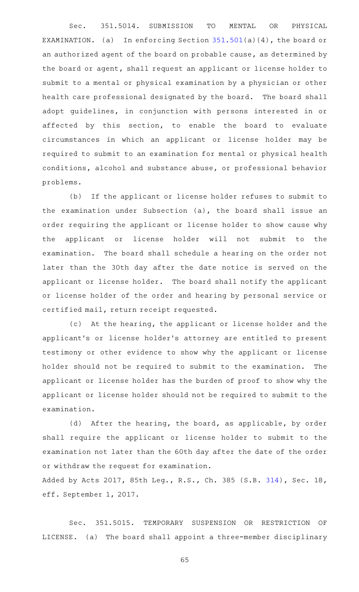Sec. 351.5014. SUBMISSION TO MENTAL OR PHYSICAL EXAMINATION. (a) In enforcing Section  $351.501(a)(4)$  $351.501(a)(4)$ , the board or an authorized agent of the board on probable cause, as determined by the board or agent, shall request an applicant or license holder to submit to a mental or physical examination by a physician or other health care professional designated by the board. The board shall adopt guidelines, in conjunction with persons interested in or affected by this section, to enable the board to evaluate circumstances in which an applicant or license holder may be required to submit to an examination for mental or physical health conditions, alcohol and substance abuse, or professional behavior problems.

(b) If the applicant or license holder refuses to submit to the examination under Subsection (a), the board shall issue an order requiring the applicant or license holder to show cause why the applicant or license holder will not submit to the examination. The board shall schedule a hearing on the order not later than the 30th day after the date notice is served on the applicant or license holder. The board shall notify the applicant or license holder of the order and hearing by personal service or certified mail, return receipt requested.

(c) At the hearing, the applicant or license holder and the applicant 's or license holder 's attorney are entitled to present testimony or other evidence to show why the applicant or license holder should not be required to submit to the examination. The applicant or license holder has the burden of proof to show why the applicant or license holder should not be required to submit to the examination.

(d) After the hearing, the board, as applicable, by order shall require the applicant or license holder to submit to the examination not later than the 60th day after the date of the order or withdraw the request for examination.

Added by Acts 2017, 85th Leg., R.S., Ch. 385 (S.B. [314\)](http://www.legis.state.tx.us/tlodocs/85R/billtext/html/SB00314F.HTM), Sec. 18, eff. September 1, 2017.

Sec. 351.5015. TEMPORARY SUSPENSION OR RESTRICTION OF LICENSE. (a) The board shall appoint a three-member disciplinary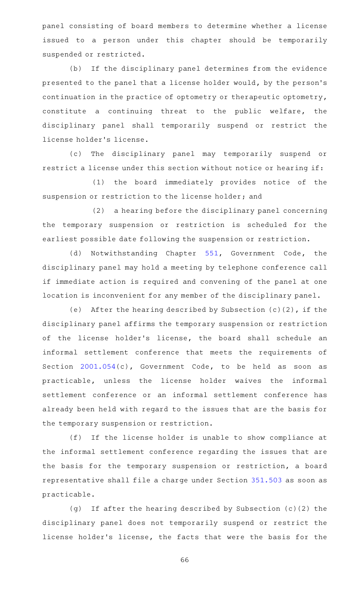panel consisting of board members to determine whether a license issued to a person under this chapter should be temporarily suspended or restricted.

(b) If the disciplinary panel determines from the evidence presented to the panel that a license holder would, by the person's continuation in the practice of optometry or therapeutic optometry, constitute a continuing threat to the public welfare, the disciplinary panel shall temporarily suspend or restrict the license holder 's license.

(c) The disciplinary panel may temporarily suspend or restrict a license under this section without notice or hearing if:

(1) the board immediately provides notice of the suspension or restriction to the license holder; and

(2) a hearing before the disciplinary panel concerning the temporary suspension or restriction is scheduled for the earliest possible date following the suspension or restriction.

(d) Notwithstanding Chapter [551](https://statutes.capitol.texas.gov/GetStatute.aspx?Code=GV&Value=551), Government Code, the disciplinary panel may hold a meeting by telephone conference call if immediate action is required and convening of the panel at one location is inconvenient for any member of the disciplinary panel.

(e) After the hearing described by Subsection  $(c)$  (2), if the disciplinary panel affirms the temporary suspension or restriction of the license holder's license, the board shall schedule an informal settlement conference that meets the requirements of Section [2001.054](https://statutes.capitol.texas.gov/GetStatute.aspx?Code=GV&Value=2001.054)(c), Government Code, to be held as soon as practicable, unless the license holder waives the informal settlement conference or an informal settlement conference has already been held with regard to the issues that are the basis for the temporary suspension or restriction.

(f) If the license holder is unable to show compliance at the informal settlement conference regarding the issues that are the basis for the temporary suspension or restriction, a board representative shall file a charge under Section [351.503](https://statutes.capitol.texas.gov/GetStatute.aspx?Code=OC&Value=351.503) as soon as practicable.

(g) If after the hearing described by Subsection (c)(2) the disciplinary panel does not temporarily suspend or restrict the license holder 's license, the facts that were the basis for the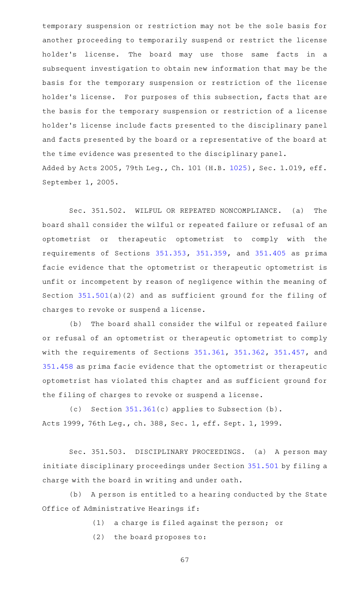temporary suspension or restriction may not be the sole basis for another proceeding to temporarily suspend or restrict the license holder's license. The board may use those same facts in a subsequent investigation to obtain new information that may be the basis for the temporary suspension or restriction of the license holder's license. For purposes of this subsection, facts that are the basis for the temporary suspension or restriction of a license holder 's license include facts presented to the disciplinary panel and facts presented by the board or a representative of the board at the time evidence was presented to the disciplinary panel. Added by Acts 2005, 79th Leg., Ch. 101 (H.B. [1025](http://www.legis.state.tx.us/tlodocs/79R/billtext/html/HB01025F.HTM)), Sec. 1.019, eff. September 1, 2005.

Sec. 351.502. WILFUL OR REPEATED NONCOMPLIANCE. (a) The board shall consider the wilful or repeated failure or refusal of an optometrist or therapeutic optometrist to comply with the requirements of Sections [351.353](https://statutes.capitol.texas.gov/GetStatute.aspx?Code=OC&Value=351.353), [351.359,](https://statutes.capitol.texas.gov/GetStatute.aspx?Code=OC&Value=351.359) and [351.405](https://statutes.capitol.texas.gov/GetStatute.aspx?Code=OC&Value=351.405) as prima facie evidence that the optometrist or therapeutic optometrist is unfit or incompetent by reason of negligence within the meaning of Section [351.501\(](https://statutes.capitol.texas.gov/GetStatute.aspx?Code=OC&Value=351.501)a)(2) and as sufficient ground for the filing of charges to revoke or suspend a license.

(b) The board shall consider the wilful or repeated failure or refusal of an optometrist or therapeutic optometrist to comply with the requirements of Sections [351.361](https://statutes.capitol.texas.gov/GetStatute.aspx?Code=OC&Value=351.361), [351.362,](https://statutes.capitol.texas.gov/GetStatute.aspx?Code=OC&Value=351.362) [351.457,](https://statutes.capitol.texas.gov/GetStatute.aspx?Code=OC&Value=351.457) and [351.458](https://statutes.capitol.texas.gov/GetStatute.aspx?Code=OC&Value=351.458) as prima facie evidence that the optometrist or therapeutic optometrist has violated this chapter and as sufficient ground for the filing of charges to revoke or suspend a license.

(c) Section  $351.361(c)$  $351.361(c)$  applies to Subsection (b). Acts 1999, 76th Leg., ch. 388, Sec. 1, eff. Sept. 1, 1999.

Sec. 351.503. DISCIPLINARY PROCEEDINGS. (a) A person may initiate disciplinary proceedings under Section [351.501](https://statutes.capitol.texas.gov/GetStatute.aspx?Code=OC&Value=351.501) by filing a charge with the board in writing and under oath.

(b) A person is entitled to a hearing conducted by the State Office of Administrative Hearings if:

 $(1)$  a charge is filed against the person; or

 $(2)$  the board proposes to: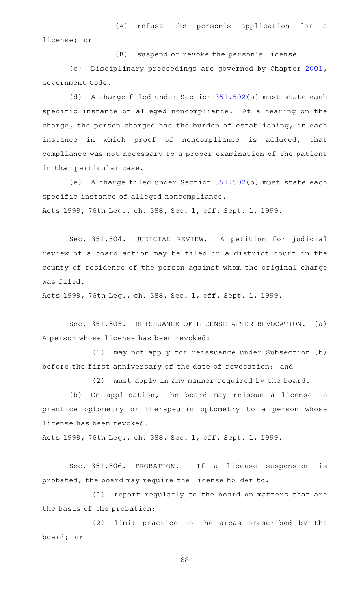(A) refuse the person's application for a license; or

(B) suspend or revoke the person's license.

(c) Disciplinary proceedings are governed by Chapter [2001](https://statutes.capitol.texas.gov/GetStatute.aspx?Code=GV&Value=2001), Government Code.

(d) A charge filed under Section [351.502](https://statutes.capitol.texas.gov/GetStatute.aspx?Code=OC&Value=351.502)(a) must state each specific instance of alleged noncompliance. At a hearing on the charge, the person charged has the burden of establishing, in each instance in which proof of noncompliance is adduced, that compliance was not necessary to a proper examination of the patient in that particular case.

(e) A charge filed under Section [351.502](https://statutes.capitol.texas.gov/GetStatute.aspx?Code=OC&Value=351.502)(b) must state each specific instance of alleged noncompliance. Acts 1999, 76th Leg., ch. 388, Sec. 1, eff. Sept. 1, 1999.

Sec. 351.504. JUDICIAL REVIEW. A petition for judicial review of a board action may be filed in a district court in the county of residence of the person against whom the original charge was filed.

Acts 1999, 76th Leg., ch. 388, Sec. 1, eff. Sept. 1, 1999.

Sec. 351.505. REISSUANCE OF LICENSE AFTER REVOCATION. (a) A person whose license has been revoked:

(1) may not apply for reissuance under Subsection (b) before the first anniversary of the date of revocation; and

 $(2)$  must apply in any manner required by the board.

(b) On application, the board may reissue a license to practice optometry or therapeutic optometry to a person whose license has been revoked.

Acts 1999, 76th Leg., ch. 388, Sec. 1, eff. Sept. 1, 1999.

Sec. 351.506. PROBATION. If a license suspension is probated, the board may require the license holder to:

(1) report regularly to the board on matters that are the basis of the probation;

(2) limit practice to the areas prescribed by the board; or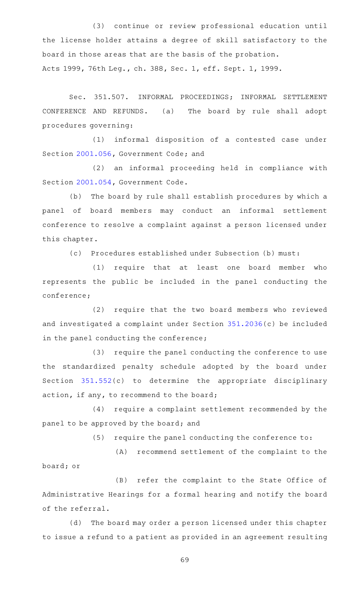(3) continue or review professional education until the license holder attains a degree of skill satisfactory to the board in those areas that are the basis of the probation. Acts 1999, 76th Leg., ch. 388, Sec. 1, eff. Sept. 1, 1999.

Sec. 351.507. INFORMAL PROCEEDINGS; INFORMAL SETTLEMENT CONFERENCE AND REFUNDS. (a) The board by rule shall adopt procedures governing:

(1) informal disposition of a contested case under Section [2001.056](https://statutes.capitol.texas.gov/GetStatute.aspx?Code=GV&Value=2001.056), Government Code; and

(2) an informal proceeding held in compliance with Section [2001.054](https://statutes.capitol.texas.gov/GetStatute.aspx?Code=GV&Value=2001.054), Government Code.

(b) The board by rule shall establish procedures by which a panel of board members may conduct an informal settlement conference to resolve a complaint against a person licensed under this chapter.

(c) Procedures established under Subsection (b) must:

(1) require that at least one board member who represents the public be included in the panel conducting the conference;

(2) require that the two board members who reviewed and investigated a complaint under Section [351.2036\(](https://statutes.capitol.texas.gov/GetStatute.aspx?Code=OC&Value=351.2036)c) be included in the panel conducting the conference;

(3) require the panel conducting the conference to use the standardized penalty schedule adopted by the board under Section [351.552\(](https://statutes.capitol.texas.gov/GetStatute.aspx?Code=OC&Value=351.552)c) to determine the appropriate disciplinary action, if any, to recommend to the board;

(4) require a complaint settlement recommended by the panel to be approved by the board; and

 $(5)$  require the panel conducting the conference to:

(A) recommend settlement of the complaint to the board; or

(B) refer the complaint to the State Office of Administrative Hearings for a formal hearing and notify the board of the referral.

(d) The board may order a person licensed under this chapter to issue a refund to a patient as provided in an agreement resulting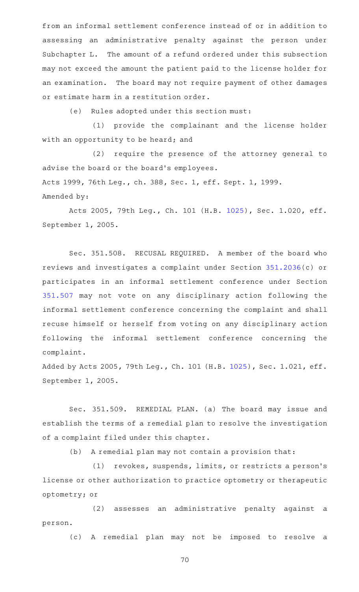from an informal settlement conference instead of or in addition to assessing an administrative penalty against the person under Subchapter L. The amount of a refund ordered under this subsection may not exceed the amount the patient paid to the license holder for an examination. The board may not require payment of other damages or estimate harm in a restitution order.

(e) Rules adopted under this section must:

(1) provide the complainant and the license holder with an opportunity to be heard; and

(2) require the presence of the attorney general to advise the board or the board's employees. Acts 1999, 76th Leg., ch. 388, Sec. 1, eff. Sept. 1, 1999. Amended by:

Acts 2005, 79th Leg., Ch. 101 (H.B. [1025](http://www.legis.state.tx.us/tlodocs/79R/billtext/html/HB01025F.HTM)), Sec. 1.020, eff. September 1, 2005.

Sec. 351.508. RECUSAL REQUIRED. A member of the board who reviews and investigates a complaint under Section [351.2036](https://statutes.capitol.texas.gov/GetStatute.aspx?Code=OC&Value=351.2036)(c) or participates in an informal settlement conference under Section [351.507](https://statutes.capitol.texas.gov/GetStatute.aspx?Code=OC&Value=351.507) may not vote on any disciplinary action following the informal settlement conference concerning the complaint and shall recuse himself or herself from voting on any disciplinary action following the informal settlement conference concerning the complaint.

Added by Acts 2005, 79th Leg., Ch. 101 (H.B. [1025](http://www.legis.state.tx.us/tlodocs/79R/billtext/html/HB01025F.HTM)), Sec. 1.021, eff. September 1, 2005.

Sec. 351.509. REMEDIAL PLAN. (a) The board may issue and establish the terms of a remedial plan to resolve the investigation of a complaint filed under this chapter.

(b) A remedial plan may not contain a provision that:

(1) revokes, suspends, limits, or restricts a person's license or other authorization to practice optometry or therapeutic optometry; or

(2) assesses an administrative penalty against a person.

(c)AAA remedial plan may not be imposed to resolve a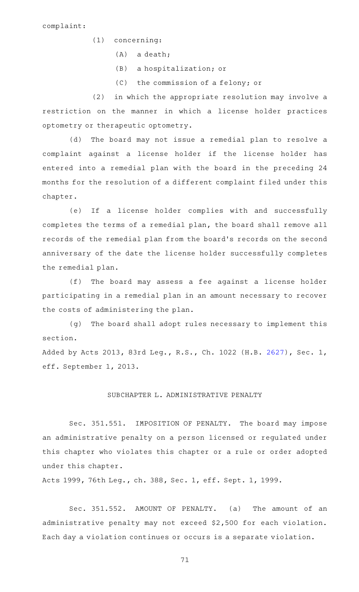- $(1)$  concerning:
	- $(A)$  a death;
	- (B) a hospitalization; or
	- (C) the commission of a felony; or

(2) in which the appropriate resolution may involve a restriction on the manner in which a license holder practices optometry or therapeutic optometry.

(d) The board may not issue a remedial plan to resolve a complaint against a license holder if the license holder has entered into a remedial plan with the board in the preceding 24 months for the resolution of a different complaint filed under this chapter.

(e) If a license holder complies with and successfully completes the terms of a remedial plan, the board shall remove all records of the remedial plan from the board's records on the second anniversary of the date the license holder successfully completes the remedial plan.

(f) The board may assess a fee against a license holder participating in a remedial plan in an amount necessary to recover the costs of administering the plan.

(g) The board shall adopt rules necessary to implement this section.

Added by Acts 2013, 83rd Leg., R.S., Ch. 1022 (H.B. [2627\)](http://www.legis.state.tx.us/tlodocs/83R/billtext/html/HB02627F.HTM), Sec. 1, eff. September 1, 2013.

## SUBCHAPTER L. ADMINISTRATIVE PENALTY

Sec. 351.551. IMPOSITION OF PENALTY. The board may impose an administrative penalty on a person licensed or regulated under this chapter who violates this chapter or a rule or order adopted under this chapter.

Acts 1999, 76th Leg., ch. 388, Sec. 1, eff. Sept. 1, 1999.

Sec. 351.552. AMOUNT OF PENALTY. (a) The amount of an administrative penalty may not exceed \$2,500 for each violation. Each day a violation continues or occurs is a separate violation.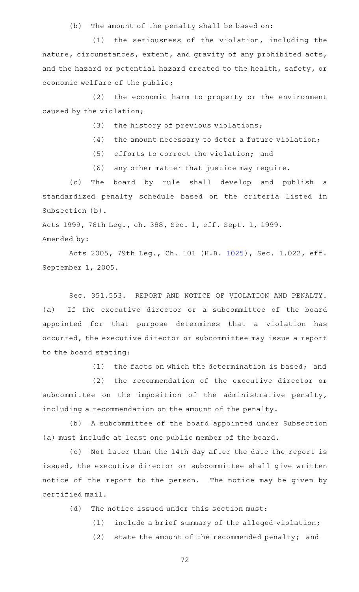(b) The amount of the penalty shall be based on:

 $(1)$  the seriousness of the violation, including the nature, circumstances, extent, and gravity of any prohibited acts, and the hazard or potential hazard created to the health, safety, or economic welfare of the public;

 $(2)$  the economic harm to property or the environment caused by the violation;

- $(3)$  the history of previous violations;
- $(4)$  the amount necessary to deter a future violation;
- $(5)$  efforts to correct the violation; and
- (6) any other matter that justice may require.

(c) The board by rule shall develop and publish a standardized penalty schedule based on the criteria listed in Subsection (b).

Acts 1999, 76th Leg., ch. 388, Sec. 1, eff. Sept. 1, 1999.

Amended by:

Acts 2005, 79th Leg., Ch. 101 (H.B. [1025](http://www.legis.state.tx.us/tlodocs/79R/billtext/html/HB01025F.HTM)), Sec. 1.022, eff. September 1, 2005.

Sec. 351.553. REPORT AND NOTICE OF VIOLATION AND PENALTY. (a) If the executive director or a subcommittee of the board appointed for that purpose determines that a violation has occurred, the executive director or subcommittee may issue a report to the board stating:

(1) the facts on which the determination is based; and

(2) the recommendation of the executive director or subcommittee on the imposition of the administrative penalty, including a recommendation on the amount of the penalty.

(b) A subcommittee of the board appointed under Subsection (a) must include at least one public member of the board.

(c) Not later than the 14th day after the date the report is issued, the executive director or subcommittee shall give written notice of the report to the person. The notice may be given by certified mail.

 $(d)$  The notice issued under this section must:

 $(1)$  include a brief summary of the alleged violation;

(2) state the amount of the recommended penalty; and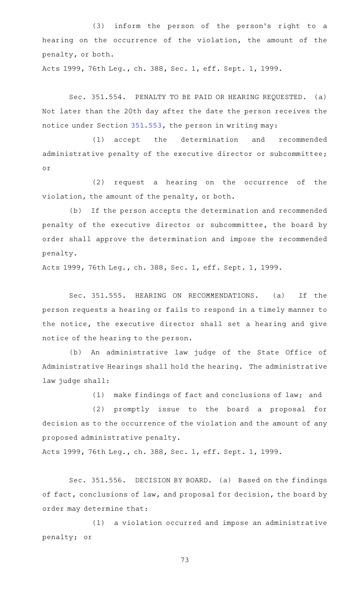(3) inform the person of the person's right to a hearing on the occurrence of the violation, the amount of the penalty, or both.

Acts 1999, 76th Leg., ch. 388, Sec. 1, eff. Sept. 1, 1999.

Sec. 351.554. PENALTY TO BE PAID OR HEARING REQUESTED. (a) Not later than the 20th day after the date the person receives the notice under Section [351.553,](https://statutes.capitol.texas.gov/GetStatute.aspx?Code=OC&Value=351.553) the person in writing may:

(1) accept the determination and recommended administrative penalty of the executive director or subcommittee; or

(2) request a hearing on the occurrence of the violation, the amount of the penalty, or both.

(b) If the person accepts the determination and recommended penalty of the executive director or subcommittee, the board by order shall approve the determination and impose the recommended penalty.

Acts 1999, 76th Leg., ch. 388, Sec. 1, eff. Sept. 1, 1999.

Sec. 351.555. HEARING ON RECOMMENDATIONS. (a) If the person requests a hearing or fails to respond in a timely manner to the notice, the executive director shall set a hearing and give notice of the hearing to the person.

(b) An administrative law judge of the State Office of Administrative Hearings shall hold the hearing. The administrative law judge shall:

 $(1)$  make findings of fact and conclusions of law; and

(2) promptly issue to the board a proposal for decision as to the occurrence of the violation and the amount of any proposed administrative penalty.

Acts 1999, 76th Leg., ch. 388, Sec. 1, eff. Sept. 1, 1999.

Sec. 351.556. DECISION BY BOARD. (a) Based on the findings of fact, conclusions of law, and proposal for decision, the board by order may determine that:

(1) a violation occurred and impose an administrative penalty; or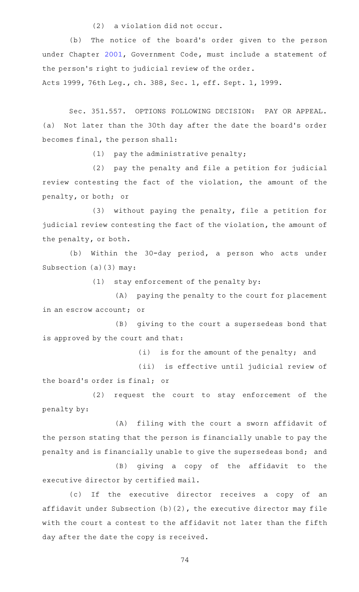$(2)$  a violation did not occur.

(b) The notice of the board's order given to the person under Chapter [2001,](https://statutes.capitol.texas.gov/GetStatute.aspx?Code=GV&Value=2001) Government Code, must include a statement of the person's right to judicial review of the order.

Acts 1999, 76th Leg., ch. 388, Sec. 1, eff. Sept. 1, 1999.

Sec. 351.557. OPTIONS FOLLOWING DECISION: PAY OR APPEAL. (a) Not later than the 30th day after the date the board's order becomes final, the person shall:

 $(1)$  pay the administrative penalty;

(2) pay the penalty and file a petition for judicial review contesting the fact of the violation, the amount of the penalty, or both; or

(3) without paying the penalty, file a petition for judicial review contesting the fact of the violation, the amount of the penalty, or both.

(b) Within the 30-day period, a person who acts under Subsection (a)(3) may:

 $(1)$  stay enforcement of the penalty by:

 $(A)$  paying the penalty to the court for placement in an escrow account; or

(B) giving to the court a supersedeas bond that is approved by the court and that:

 $(i)$  is for the amount of the penalty; and

(ii) is effective until judicial review of

the board's order is final; or

(2) request the court to stay enforcement of the penalty by:

 $(A)$  filing with the court a sworn affidavit of the person stating that the person is financially unable to pay the penalty and is financially unable to give the supersedeas bond; and

(B) giving a copy of the affidavit to the executive director by certified mail.

(c) If the executive director receives a copy of an affidavit under Subsection (b)(2), the executive director may file with the court a contest to the affidavit not later than the fifth day after the date the copy is received.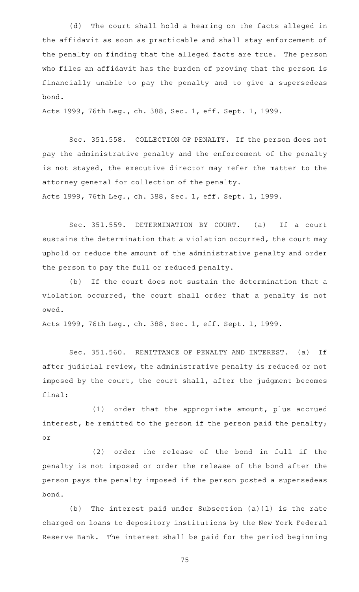(d) The court shall hold a hearing on the facts alleged in the affidavit as soon as practicable and shall stay enforcement of the penalty on finding that the alleged facts are true. The person who files an affidavit has the burden of proving that the person is financially unable to pay the penalty and to give a supersedeas bond.

Acts 1999, 76th Leg., ch. 388, Sec. 1, eff. Sept. 1, 1999.

Sec. 351.558. COLLECTION OF PENALTY. If the person does not pay the administrative penalty and the enforcement of the penalty is not stayed, the executive director may refer the matter to the attorney general for collection of the penalty. Acts 1999, 76th Leg., ch. 388, Sec. 1, eff. Sept. 1, 1999.

Sec. 351.559. DETERMINATION BY COURT. (a) If a court

sustains the determination that a violation occurred, the court may uphold or reduce the amount of the administrative penalty and order the person to pay the full or reduced penalty.

(b) If the court does not sustain the determination that a violation occurred, the court shall order that a penalty is not owed.

Acts 1999, 76th Leg., ch. 388, Sec. 1, eff. Sept. 1, 1999.

Sec. 351.560. REMITTANCE OF PENALTY AND INTEREST. (a) If after judicial review, the administrative penalty is reduced or not imposed by the court, the court shall, after the judgment becomes final:

(1) order that the appropriate amount, plus accrued interest, be remitted to the person if the person paid the penalty; or

(2) order the release of the bond in full if the penalty is not imposed or order the release of the bond after the person pays the penalty imposed if the person posted a supersedeas bond.

(b) The interest paid under Subsection  $(a)(1)$  is the rate charged on loans to depository institutions by the New York Federal Reserve Bank. The interest shall be paid for the period beginning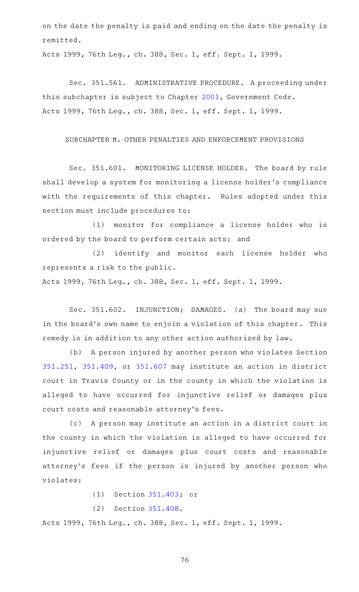on the date the penalty is paid and ending on the date the penalty is remitted.

Acts 1999, 76th Leg., ch. 388, Sec. 1, eff. Sept. 1, 1999.

Sec. 351.561. ADMINISTRATIVE PROCEDURE. A proceeding under this subchapter is subject to Chapter [2001,](https://statutes.capitol.texas.gov/GetStatute.aspx?Code=GV&Value=2001) Government Code. Acts 1999, 76th Leg., ch. 388, Sec. 1, eff. Sept. 1, 1999.

## SUBCHAPTER M. OTHER PENALTIES AND ENFORCEMENT PROVISIONS

Sec. 351.601. MONITORING LICENSE HOLDER. The board by rule shall develop a system for monitoring a license holder 's compliance with the requirements of this chapter. Rules adopted under this section must include procedures to:

(1) monitor for compliance a license holder who is ordered by the board to perform certain acts; and

(2) identify and monitor each license holder who represents a risk to the public.

Acts 1999, 76th Leg., ch. 388, Sec. 1, eff. Sept. 1, 1999.

Sec. 351.602. INJUNCTION; DAMAGES. (a) The board may sue in the board's own name to enjoin a violation of this chapter. This remedy is in addition to any other action authorized by law.

(b) A person injured by another person who violates Section [351.251,](https://statutes.capitol.texas.gov/GetStatute.aspx?Code=OC&Value=351.251) [351.409](https://statutes.capitol.texas.gov/GetStatute.aspx?Code=OC&Value=351.409), or [351.607](https://statutes.capitol.texas.gov/GetStatute.aspx?Code=OC&Value=351.607) may institute an action in district court in Travis County or in the county in which the violation is alleged to have occurred for injunctive relief or damages plus court costs and reasonable attorney 's fees.

(c) A person may institute an action in a district court in the county in which the violation is alleged to have occurred for injunctive relief or damages plus court costs and reasonable attorney's fees if the person is injured by another person who violates:

(1) Section [351.403;](https://statutes.capitol.texas.gov/GetStatute.aspx?Code=OC&Value=351.403) or

(2) Section [351.408.](https://statutes.capitol.texas.gov/GetStatute.aspx?Code=OC&Value=351.408)

Acts 1999, 76th Leg., ch. 388, Sec. 1, eff. Sept. 1, 1999.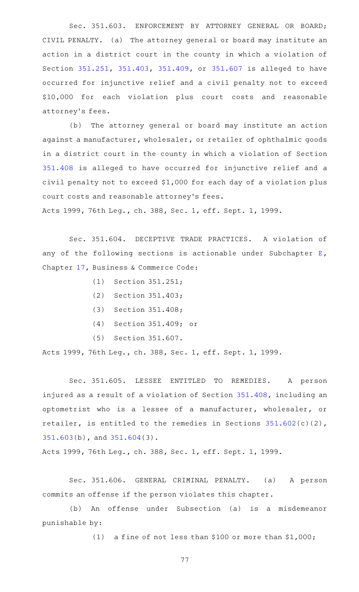Sec. 351.603. ENFORCEMENT BY ATTORNEY GENERAL OR BOARD; CIVIL PENALTY. (a) The attorney general or board may institute an action in a district court in the county in which a violation of Section [351.251,](https://statutes.capitol.texas.gov/GetStatute.aspx?Code=OC&Value=351.251) [351.403,](https://statutes.capitol.texas.gov/GetStatute.aspx?Code=OC&Value=351.403) [351.409](https://statutes.capitol.texas.gov/GetStatute.aspx?Code=OC&Value=351.409), or [351.607](https://statutes.capitol.texas.gov/GetStatute.aspx?Code=OC&Value=351.607) is alleged to have occurred for injunctive relief and a civil penalty not to exceed \$10,000 for each violation plus court costs and reasonable attorney 's fees.

(b) The attorney general or board may institute an action against a manufacturer, wholesaler, or retailer of ophthalmic goods in a district court in the county in which a violation of Section [351.408](https://statutes.capitol.texas.gov/GetStatute.aspx?Code=OC&Value=351.408) is alleged to have occurred for injunctive relief and a civil penalty not to exceed \$1,000 for each day of a violation plus court costs and reasonable attorney 's fees.

Acts 1999, 76th Leg., ch. 388, Sec. 1, eff. Sept. 1, 1999.

Sec. 351.604. DECEPTIVE TRADE PRACTICES. A violation of any of the following sections is actionable under Subchapter  $E$ , Chapter [17,](https://statutes.capitol.texas.gov/GetStatute.aspx?Code=BC&Value=17) Business & Commerce Code:

- $(1)$  Section 351.251;
- $(2)$  Section 351.403;
- $(3)$  Section 351.408;
- (4) Section 351.409; or
- (5) Section 351.607.

Acts 1999, 76th Leg., ch. 388, Sec. 1, eff. Sept. 1, 1999.

Sec. 351.605. LESSEE ENTITLED TO REMEDIES. A person injured as a result of a violation of Section [351.408,](https://statutes.capitol.texas.gov/GetStatute.aspx?Code=OC&Value=351.408) including an optometrist who is a lessee of a manufacturer, wholesaler, or retailer, is entitled to the remedies in Sections [351.602](https://statutes.capitol.texas.gov/GetStatute.aspx?Code=OC&Value=351.602)(c)(2), [351.603\(](https://statutes.capitol.texas.gov/GetStatute.aspx?Code=OC&Value=351.603)b), and [351.604\(](https://statutes.capitol.texas.gov/GetStatute.aspx?Code=OC&Value=351.604)3).

Acts 1999, 76th Leg., ch. 388, Sec. 1, eff. Sept. 1, 1999.

Sec. 351.606. GENERAL CRIMINAL PENALTY. (a) A person commits an offense if the person violates this chapter.

(b) An offense under Subsection (a) is a misdemeanor punishable by:

(1) a fine of not less than \$100 or more than  $$1,000;$